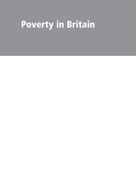# **Poverty in Britain**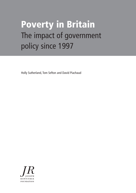# **Poverty in Britain** The impact of government policy since 1997

Holly Sutherland, Tom Sefton and David Piachaud

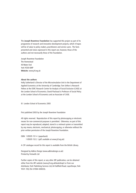The **Joseph Rowntree Foundation** has supported this project as part of its programme of research and innovative development projects, which it hopes will be of value to policy makers, practitioners and service users. The facts presented and views expressed in this report are, however, those of the authors and not necessarily those of the Foundation.

Joseph Rowntree Foundation The Homestead 40 Water End York YO30 6WP **Website**: www.jrf.org.uk

#### **About the authors**

Holly Sutherland is Director of the Microsimulation Unit in the Department of Applied Economics at the University of Cambridge. Tom Sefton is Research Fellow at the ESRC Research Centre for Analysis of Social Exclusion (CASE) at the London School of Economics. David Piachaud is Professor of Social Policy at the London School of Economics and an Associate of CASE.

© London School of Economics 2003

First published 2003 by the Joseph Rowntree Foundation

All rights reserved. Reproduction of this report by photocopying or electronic means for non-commercial purposes is permitted. Otherwise, no part of this report may be reproduced, adapted, stored in a retrieval system or transmitted by any means, electronic, mechanical, photocopying, or otherwise without the prior written permission of the Joseph Rowntree Foundation.

ISBN 1 85935 151 4 (paperback) 1 85935 152 2 (pdf: available at www.jrf.org.uk)

A CIP catalogue record for this report is available from the British Library.

Designed by Adkins Design (www.adkinsdesign.co.uk) Printed by Fretwells Ltd

Further copies of this report, or any other JRF publication, can be obtained either from the JRF website (www.jrf.org.uk/bookshop/) or from our distributor, York Publishing Services Ltd, 64 Hallfield Road, Layerthorpe, York YO31 7ZQ (Tel: 01904 430033).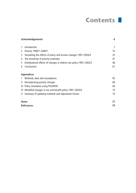# **Contents**

|              | <b>Acknowledgements</b>                                              | 6  |
|--------------|----------------------------------------------------------------------|----|
| 1            | Introduction                                                         | 7  |
| 2            | Poverty 1996/7-2000/1                                                | 10 |
| 3            | Simulating the effects of policy and income changes 1997–2003/4      | 25 |
| 4            | The sensitivity of poverty estimates                                 | 41 |
| 5            | Distributional effects of changes in indirect tax policy 1997–2002/3 | 48 |
| 6            | Conclusions                                                          | 61 |
|              | <b>Appendices</b>                                                    |    |
| $\mathbf{I}$ | Methods, data and assumptions                                        | 65 |
| Ш            | Decomposing poverty changes                                          | 68 |
|              | III Policy simulation using POLIMOD                                  | 69 |
| IV           | Modelled changes in tax and benefit policy 1997-2003/4               | 70 |
| V.           | Summary of updating methods and adjustment factors                   | 74 |
|              | <b>Notes</b>                                                         | 77 |
|              | <b>References</b>                                                    | 79 |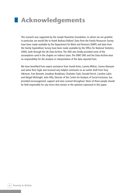# **Acknowledgements**

This research was supported by the Joseph Rowntree Foundation, to whom we are grateful; in particular, we would like to thank Barbara Ballard. Data from the Family Resources Survey have been made available by the Department for Work and Pensions (DWP) and data from the Family Expenditure Survey have been made available by the Office for National Statistics (ONS), both through the UK Data Archive. The ONS also kindly provided some of the assumptions used in the chapter on indirect taxes. The DWP, ONS and the Data Archive bear no responsibility for the analysis or interpretation of the data reported here.

We have benefited from expert assistance from Gundi Knies, Lavinia Mitton, Ceema Namazie and Jaime Ruiz-Tagle and received very helpful comments on an earlier draft from Tony Atkinson, Fran Bennett, Jonathan Bradshaw, Charlotte Clark, Donald Hirsch, Caroline Lakin and Abigail McKnight. John Hills, Director of the Centre for Analysis of Social Exclusion, has provided encouragement, support and wise counsel throughout. None of these people should be held responsible for any errors that remain or the opinions expressed in this paper.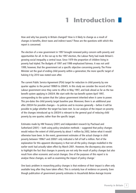# **1 Introduction**

How and why has poverty in Britain changed? How is it likely to change as a result of changes in benefits, direct taxes and indirect taxes? These are the questions with which this report is concerned.

The election of a new government in 1997 brought renewed policy concern with poverty and opportunities for all. In the run-up to the 1997 election, the Labour Party had made Britain's growing social inequality a central issue. Since 1979 the proportion of children living in poverty had tripled. The Budgets of 1997 and 1998 emphasised fairness. It was not until 1999, however, that the government set a specific objective concerning poverty. The Prime Minister set the goal of ending child poverty within a generation; the more specific target of halving it by 2010 was stated soon after.

The current Public Service Agreement (PSA) target for reduction in child poverty by one quarter applies to the period 1998/9 to 2004/5. In this study we consider the record of the Labour government since they came to office in May 1997, and look ahead as far as the taxbenefit system applying in 2003/4. We start with the tax-benefit system April 1997, corresponding to the system that the Labour government inherited when it came to power. This pre-dates the child poverty target baseline year. Moreover, there is an additional year after 2003/4 for possible changes – to policies and to incomes generally – before it will be possible to judge whether the target has been met. So our analysis of the impact on poverty of the changes introduced up to 2003/4 is relevant to the general goal of reducing child poverty by one quarter, rather than the specific target.

Estimates made by HM Treasury (2001) and independent research by Piachaud and Sutherland (2001) – both using policy simulation methods – suggested that policy changes would reduce the extent of child poverty by about 1 million by 2002, below what it would otherwise have been. In the event, government estimates of the actual change in child poverty between 1996/7 and 2000/1 only indicated a fall of half a million. Part of the explanation for this apparent discrepancy is that not all the policy changes modelled in the earlier work had actually taken effect by March 2001. However, the discrepancy also serves to highlight the fact that changes in poverty are not only the result of policy changes but also result from other economic and social changes. One of the purposes of this report is to analyse these changes, as well as examining the impact of policy change.<sup>1</sup>

One basic problem in researching policy changes is that evidence of their impact is often only available long after they have taken effect. This is certainly true of evidence on poverty. Even though publication of government poverty estimates in *Households Below Average Income*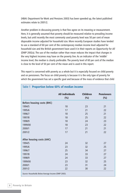(HBAI: Department for Work and Pensions 2003) has been speeded up, the latest published estimates relate to 2001/2.

Another problem in discussing poverty is that few agree on its meaning or measurement. Here, it is generally assumed that poverty should be measured relative to prevailing income levels, but until recently the most commonly used poverty level was 50 per cent of mean disposable income adjusted for household size. More recently European studies have tended to use a standard of 60 per cent of the contemporary median income level adjusted for household size and the British government have used it in their reports on *Opportunity for All* (DWP 2002a). The use of the median rather than mean reduces the impact that changes in the very highest incomes may have on the poverty line. As an indicator of the 'middle' income level, the median is clearly preferable. The poverty level of 60 per cent of the median is close to the level of 50 per cent of the mean and is used in this report.

This report is concerned with poverty as a whole but it is especially focused on child poverty and on pensioners. The focus on child poverty is because it is the only type of poverty for which the government has set a specific goal and because of the mass of evidence that child

|                                   | <b>All individuals</b> | <b>Children</b> | <b>Pensioners</b> |
|-----------------------------------|------------------------|-----------------|-------------------|
|                                   | (%)                    | (%)             | (%)               |
| <b>Before housing costs (BHC)</b> |                        |                 |                   |
| 1994/5                            | 18                     | 23              | 21                |
| 1995/6                            | 17                     | 21              | 22                |
| 1996/7                            | 18                     | 25              | 21                |
| 1997/8                            | 18                     | 25              | 22                |
| 1998/9                            | 18                     | 24              | 23                |
| 1999/00                           | 18                     | 23              | 22                |
| 2000/1                            | 17                     | 21              | 21                |
| 2001/2                            | 17                     | 21              | 22                |
| <b>After housing costs (AHC)</b>  |                        |                 |                   |
| 1994/5                            | 24                     | 32              | 27                |
| 1995/6                            | 23                     | 32              | 25                |
| 1996/7                            | 25                     | 34              | 27                |
| 1997/8                            | 24                     | 33              | 27                |
| 1998/9                            | 24                     | 33              | 27                |
| 1999/00                           | 23                     | 32              | 25                |
| 2000/1                            | 23                     | 31              | 24                |
| 2001/2                            | 22                     | 30              | 22                |

# Table 1 **Proportion below 60% of median income**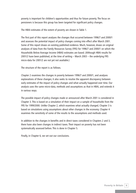poverty is important for children's opportunities and thus for future poverty. The focus on pensioners is because this group has been targeted for significant policy changes.

The HBAI estimates of the extent of poverty are shown in Table 1.

The first part of this report analyses the changes that occurred between 1996/7 and 2000/1 and assesses the potential impact of policy changes coming into effect after March 2001. Some of this report draws on existing published evidence. Much, however, draws on original analyses of data from the Family Resources Survey (FRS) for 1996/7 and 2000/1 on which the Households Below Average Income (HBAI) estimates are based. (Although HBAI results for 2001/2 have been published, at the time of writing – March 2003 – the underlying FRS micro-data for 2001/2 are not yet not available.)

The structure of the report is as follows.

Chapter 2 examines the changes in poverty between 1996/7 and 2000/1, and analyses explanations of these changes; it also seeks to resolve the apparent discrepancy between early estimates of the impact of policy changes and what actually happened over time. Our analysis uses the same micro-data, methods and assumptions as that in HBAI, and extends it in various ways.

The possible impact of policy changes made or announced after March 2001 is considered in Chapter 3. This is based on a simulation of their impact on a sample of households from the FRS for 1999/2000. Unlike Chapter 2, which examines what actually changed, Chapter 3 is based on simulations using assumptions about other changes in the economy. Chapter 4 examines the sensitivity of some of the results to the assumptions and methods used.

In addition to the changes in benefits and in direct taxes considered in Chapters 2 and 3, there have also been changes in indirect taxes. Their impact on poverty has not been systematically assessed before. This is done in Chapter 5.

Finally, in Chapter 6, we set out our conclusions.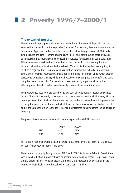# **2 Poverty 1996/7–2000/1**

# **The extent of poverty**

Throughout this report poverty is measured on the basis of household disposable income adjusted for household size (or 'equivalised' income). The methods, data and assumptions are described in Appendix I. In line with the Households Below Average Income (HBAI) studies, two measures are used – 'before housing costs' (BHC) and 'after housing costs' (AHC). For each household its equivalised income level (i.e. adjusted for household size) is calculated. This income level is assigned to all members of the household on the assumption that income is shared equally within the household. (While this is the standard assumption, it must be recognised that it is not a valid assumption for many households). In analysing family and economic circumstances this is done on the basis of 'benefit units' which broadly correspond to nuclear families; while most households only comprise one benefit unit, some comprise two or more units. The benefit units are particularly important since policies affecting family benefits and tax credits mostly operate at the benefit unit level.

The poverty lines used here are based on 60 per cent of contemporary median equivalised income. The DWP is currently consulting on the best way of measuring child poverty. Since we do not yet know their final conclusions, we use the number of people below this poverty line as being the poverty indicator around which there has been most consensus both in the UK and in the European Union (although it is often now referred to as indicating 'being at risk of poverty').

The poverty levels for couples without children, expressed in 2000/1 prices, are:

|            | 1996/7 | 2000/1 |
|------------|--------|--------|
| <b>BHC</b> | £161   | £176   |
| AHC        | £136   | £153   |

These levels rose in line with median incomes, in real terms by 9.3 per cent (BHC) and 12.8 per cent (AHC) between 1996/7 and 2000/1.

The extent of poverty by family type in 1996/7 and 2000/1 is shown in Table 2. Overall there was a small reduction in poverty based on income before housing costs (–1.4 per cent) and a slightly bigger fall after housing costs (–2 per cent). This represents an overall fall in the number of individuals in poor households of some 0.8–1.1 million.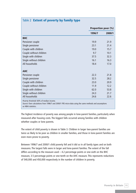| Table 2 Extent of poverty by family type |  |  |
|------------------------------------------|--|--|
|------------------------------------------|--|--|

|                         |        | <b>Proportion poor (%)</b> |
|-------------------------|--------|----------------------------|
|                         | 1996/7 | 2000/1                     |
| <b>BHC</b>              |        |                            |
| Pensioner couple        | 19.9   | 21.9                       |
| Single pensioner        | 23.1   | 21.4                       |
| Couple with children    | 19.0   | 15.7                       |
| Couple without children | 9.7    | 10.1                       |
| Single with children    | 37.5   | 32.3                       |
| Single without children | 16.1   | 16.3                       |
| All households          | 18.4   | 17.0                       |
| <b>AHC</b>              |        |                            |
| Pensioner couple        | 22.3   | 21.8                       |
| Single pensioner        | 32.5   | 28.2                       |
| Couple with children    | 23.0   | 20.9                       |
| Couple without children | 11.9   | 12.2                       |
| Single with children    | 62.0   | 53.8                       |
| Single without children | 24.3   | 21.7                       |
| All households          | 24.6   | 22.6                       |

*Poverty threshold:* 60% of median income.

*Source:* Own calculations from 1996/7 and 2000/1 FRS micro-data using the same methods and assumptions as HBAI statistics.

The highest incidence of poverty was among people in lone-parent families, particularly when measured after housing costs. The biggest falls occurred among families with children whether couples or lone parents.

The extent of child poverty is shown in Table 3. Children in larger two-parent families are twice as likely to be poor as children in smaller families, and those in lone-parent families are even more prone to poverty.

Between 1996/7 and 2000/1 child poverty fell and it did so in all family types and on both measures. The largest falls were in larger and lone-parent families. The extent of the fall differs according to the measure used  $-4.2$  percentage points or one-sixth on the BHC measure, 3.5 percentage points or one-tenth on the AHC measure. This represents reductions of 540,000 and 450,000 respectively in the number of children in poverty.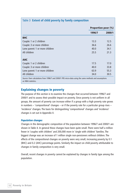| $\frac{1}{2}$                   |        |                            |
|---------------------------------|--------|----------------------------|
|                                 |        | <b>Proportion poor (%)</b> |
|                                 | 1996/7 | 2000/1                     |
| <b>BHC</b>                      |        |                            |
| Couple: 1 or 2 children         | 13.3   | 12.5                       |
| Couple: 3 or more children      | 36.6   | 26.6                       |
| Lone parent: 1 or more children | 40.0   | 34.1                       |
| All children                    | 25.5   | 21.3                       |
| <b>AHC</b>                      |        |                            |
| Couple: 1 or 2 children         | 17.5   | 17.0                       |

### Table 3 **Extent of child poverty by family composition**

*Source:* Own calculations from 1996/7 and 2000/1 FRS micro-data using the same methods and assumptions as HBAI statistics.

Couple: 3 or more children 40.0 33.8 Lone parent: 1 or more children 63.9 55.3 All children 34.0 30.5

### **Explaining changes in poverty**

The purpose of this section is to examine the changes that occurred between 1996/7 and 2000/1 and to assess their possible impact on poverty. Since poverty is not uniform in all groups, the amount of poverty can increase either if a group with a high poverty rate grows in numbers – 'compositional' changes – or if the poverty rate for a particular group rises – 'incidence' changes. The basis for distinguishing 'compositional' changes and 'incidence' changes is set out in Appendix II.

#### *Population changes*

Changes in the demographic composition of the population between 1996/7 and 2000/1 are shown in Table 4. In general these changes have been quite small. There were half a million fewer in 'couples with children' and 200,000 more in 'single with children' families. The biggest change was an increase of 1 million single non-pensioners without children. The effects of the compositional changes on poverty were very small, increasing poverty by 0.1 (BHC) and 0.2 (AHC) percentage points. Similarly the impact on child poverty attributable to changes in family composition is very small.

Overall, recent changes in poverty cannot be explained by changes in family type among the population.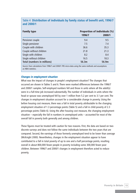| <b>Family type</b>                 | <b>Proportion of individuals (%)</b> |        |  |  |
|------------------------------------|--------------------------------------|--------|--|--|
|                                    | 1996/7                               | 2000/1 |  |  |
| Pensioner couple                   | 9.4                                  | 9.5    |  |  |
| Single pensioner                   | 7.5                                  | 7.4    |  |  |
| Couple with children               | 36.6                                 | 35.3   |  |  |
| Couple without children            | 21.8                                 | 21.3   |  |  |
| Single with children               | 8.2                                  | 8.4    |  |  |
| Single without children            | 16.5                                 | 18.3   |  |  |
| <b>Total (numbers in millions)</b> | 56.3m                                | 56.9m  |  |  |

Table 4 **Distribution of individuals by family status of benefit unit, 1996/7 and 2000/1**

*Source*: Own calculations from 1996/7 and 2000/1 FRS micro-data using the same methods and assumptions as HBAI statistics.

#### *Changes in employment situation*

What was the impact of changes in people's employment situation? The changes that occurred are shown in Tables 5 and 6. There were marked differences between the 1996/7 and 2000/1 samples. Self-employed numbers fell and those in units where all the adult(s) were in a full-time job increased substantially. The number of individuals in units where the head or spouse was unemployed fell by over 1 million from 5.2 per cent to 3.1 per cent. The changes in employment situation account for a considerable change in poverty. Using the before housing cost measure, there was a fall in total poverty attributable to the changing employment situation of 1.3 percentage points (Table 5) and a fall in child poverty of 2.3 percentage points (Table 6). Using the after housing cost measure, the changing employment situation – especially the fall in numbers in unemployed units – accounted for most of the overall fall in poverty both generally and among children.

These figures must be treated with caution for two reasons. First, the data are based on two discrete surveys and does not follow the same individuals between the two years that are compared. Second, the earnings of those formerly unemployed tend to be lower than average (McKnight 2000). Nevertheless, changes in the employment situation appear to have contributed to a fall in total poverty of up to one and a half percentage points, resulting overall in about 800,000 fewer people in poverty including some 300,000 fewer poor children. Between 1996/7 and 2000/1 changes in employment therefore acted to reduce poverty.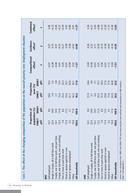| Table 5                                      |                             | Proportion of                   |                              | Proportion                           | The effect of the changing composition of the population on the overall poverty rate: Employment situation<br>Compositional | <b>Incidence</b>                             | Combined                                                                                                                                                                                                                                                                                                                                             |
|----------------------------------------------|-----------------------------|---------------------------------|------------------------------|--------------------------------------|-----------------------------------------------------------------------------------------------------------------------------|----------------------------------------------|------------------------------------------------------------------------------------------------------------------------------------------------------------------------------------------------------------------------------------------------------------------------------------------------------------------------------------------------------|
|                                              | 1996/7<br><b>L6d</b>        | 2000/1<br>population (%)<br>p01 | 1996/7<br><b>L6d</b>         | 2000/1<br>p01<br>poor (%)            | effect'<br>×                                                                                                                | effect <sup>1</sup><br>$\blacktriangleright$ | effect'<br>N                                                                                                                                                                                                                                                                                                                                         |
| Self-employed<br><b>BHC</b>                  | 10.1                        | 9.0                             | 18.6                         | 19.3                                 | $-0.01$                                                                                                                     |                                              | 0.06                                                                                                                                                                                                                                                                                                                                                 |
| Single or couple, all in full-time work      | 22.5                        | 24.9                            |                              |                                      |                                                                                                                             |                                              |                                                                                                                                                                                                                                                                                                                                                      |
| Couple, one in full-time work, one part-time |                             | 14.5                            | $1.9$<br>2.7                 | $7.\overline{8}$<br>$2.\overline{8}$ | $-0.38$<br>$-0.05$<br>$0.05$                                                                                                |                                              | $\begin{array}{cccc}\n7.33 \\ -0.32 \\ -0.32 \\ -0.50 \\ -0.50 \\ -0.50 \\ -0.50 \\ -0.50 \\ -0.50 \\ -0.50 \\ -0.50 \\ -0.50 \\ -0.50 \\ -0.50 \\ -0.50 \\ -0.50 \\ -0.50 \\ -0.50 \\ -0.50 \\ -0.50 \\ -0.50 \\ -0.50 \\ -0.50 \\ -0.50 \\ -0.50 \\ -0.50 \\ -0.50 \\ -0.50 \\ -0.50 \\ -0.50 \\ -0.50 \\ -0.50 \\ -0.50 \\ -0.50 \\ -0.50 \\ -0.$ |
| Couple, one full-time work, one not working  | $14.1$<br>$7.2$<br>$7.4$    | 11.9                            |                              | 13.5                                 |                                                                                                                             |                                              |                                                                                                                                                                                                                                                                                                                                                      |
| One or more in part-time work                |                             | 8.3                             | 15.4<br>25.0                 | 22.3                                 |                                                                                                                             |                                              |                                                                                                                                                                                                                                                                                                                                                      |
| Head or spouse aged 60 or over               | 17.4                        | 17.2                            | 23.6                         | 24.1                                 | $-0.01$                                                                                                                     |                                              |                                                                                                                                                                                                                                                                                                                                                      |
| Head or spouse unemployed                    | 5.2                         | $\overline{3.1}$                | 61.7                         | 63.6                                 | $-0.94$                                                                                                                     |                                              |                                                                                                                                                                                                                                                                                                                                                      |
| Other                                        | ာ<br>$\overline{0}$         | 11.0                            | 42.3                         | 42.1                                 | 0.02                                                                                                                        | $-0.02$                                      |                                                                                                                                                                                                                                                                                                                                                      |
| All households                               | 100.0                       | 100.0                           | 18.4                         | 17.0                                 | $-1.31$                                                                                                                     | $-0.06$                                      | $-1.37$                                                                                                                                                                                                                                                                                                                                              |
| <b>AHC</b>                                   |                             |                                 |                              |                                      |                                                                                                                             |                                              |                                                                                                                                                                                                                                                                                                                                                      |
| Self-employed                                | 10.1                        | 9.0                             |                              | 24.6                                 |                                                                                                                             |                                              |                                                                                                                                                                                                                                                                                                                                                      |
| Single or couple, all in full-time work      | 22.5                        | 24.9                            | $21.4$<br>$3.1$<br>$4.4$     | $4.0$<br>5.1                         | 0.04<br>0.07<br>0.07<br>0.07                                                                                                | 822110828203145                              | $\begin{array}{l} 6,0.0000\\ 0,0.00000\\ 0,0.00000\\ 0,0.00000\\ 0,0.00000\\ 0,0.00000\\ 0,0.00000\\ 0,0.0000\\ 0,0.0000\\ 0,0.0000\\ 0,0.0000\\ 0,0.0000\\ 0,0.0000\\ 0,0.0000\\ 0,0.0000\\ 0,0.0000\\ 0,0.0000\\ 0,0.0000\\ 0,0.0000\\ 0,0.0000\\ 0,0.00$                                                                                          |
| Couple, one in full-time work, one part-time | $14.1$<br>$12.2$            | 14.5                            |                              |                                      |                                                                                                                             |                                              |                                                                                                                                                                                                                                                                                                                                                      |
| Couple, one full-time work, one not working  |                             | 11.9                            | 20.5<br>20.8<br>20.8<br>20.9 | 19.7                                 |                                                                                                                             |                                              |                                                                                                                                                                                                                                                                                                                                                      |
| One or more in part-time work                | 7.4                         | $\frac{3}{8}$                   |                              | 29.4                                 | 0.06                                                                                                                        |                                              |                                                                                                                                                                                                                                                                                                                                                      |
| Head or spouse aged 60 or over               | 17.4                        | 17.2                            |                              | 27.6<br>77.8<br>60. <b>8</b>         | $-0.01$<br>$-1.12$<br>$-0.04$<br>$-1.57$                                                                                    |                                              |                                                                                                                                                                                                                                                                                                                                                      |
| Head or spouse unemployed                    | 5.2                         | $\overline{3.1}$                |                              |                                      |                                                                                                                             |                                              |                                                                                                                                                                                                                                                                                                                                                      |
| Other                                        | <u> ရ</u><br>$\overline{a}$ | 11.0                            |                              |                                      |                                                                                                                             |                                              |                                                                                                                                                                                                                                                                                                                                                      |
| All households                               | $\bullet$<br>100.           | 100.0                           | 24.6                         |                                      |                                                                                                                             |                                              |                                                                                                                                                                                                                                                                                                                                                      |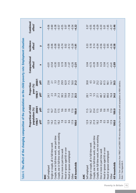| Table 6 The effect of the changing composition of the population on the child poverty rate: Employment situation |                                                |                                                     |                                                                                                                                                                                                                                                                                                                       |                                                                                                               |                                      |                                  |                     |
|------------------------------------------------------------------------------------------------------------------|------------------------------------------------|-----------------------------------------------------|-----------------------------------------------------------------------------------------------------------------------------------------------------------------------------------------------------------------------------------------------------------------------------------------------------------------------|---------------------------------------------------------------------------------------------------------------|--------------------------------------|----------------------------------|---------------------|
|                                                                                                                  |                                                | Proportion of child<br>population (%)               | poor (%)                                                                                                                                                                                                                                                                                                              | Proportion                                                                                                    | Compositional<br>effect <sup>1</sup> | Incidence<br>effect <sup>1</sup> | Combined<br>effect' |
|                                                                                                                  | 1996/7<br><b>L6d</b>                           | 2000/1<br>p <sub>01</sub>                           | 1996/7<br><b>L6d</b>                                                                                                                                                                                                                                                                                                  | 2000/1<br>p01                                                                                                 | ×                                    | $\blacktriangleright$            | N                   |
| Self-employed<br><b>BHC</b>                                                                                      |                                                |                                                     |                                                                                                                                                                                                                                                                                                                       |                                                                                                               |                                      | $-0.06$                          | $-0.06$             |
| Single or couple, all in full-time work                                                                          | 2 1 1 2 2 2 2 3 4 5 6 6 7<br>5 4 7 8 7 9 6 7 6 | 11.5<br>16.7<br>17.5                                | 11<br>1156 m 1580 m<br>1156 m 106                                                                                                                                                                                                                                                                                     | $23.79999505037$                                                                                              |                                      |                                  |                     |
| Couple, one in full-time work, one part-time                                                                     |                                                |                                                     |                                                                                                                                                                                                                                                                                                                       |                                                                                                               |                                      | 88872285<br>PPPP00025            |                     |
| Couple, one in full-time work, one not working                                                                   |                                                |                                                     |                                                                                                                                                                                                                                                                                                                       |                                                                                                               |                                      |                                  |                     |
| One or more in part-time work                                                                                    |                                                | 9.6                                                 |                                                                                                                                                                                                                                                                                                                       |                                                                                                               |                                      |                                  |                     |
| Head or spouse aged 60 or over                                                                                   |                                                | 0.6                                                 |                                                                                                                                                                                                                                                                                                                       |                                                                                                               |                                      |                                  |                     |
| Head or spouse unemployed                                                                                        |                                                | 3.6                                                 |                                                                                                                                                                                                                                                                                                                       |                                                                                                               |                                      |                                  |                     |
| Other                                                                                                            | 17.                                            | 17.0                                                |                                                                                                                                                                                                                                                                                                                       |                                                                                                               |                                      |                                  |                     |
| All households                                                                                                   | 100.0                                          | 100.0                                               | 25.5                                                                                                                                                                                                                                                                                                                  |                                                                                                               |                                      |                                  |                     |
|                                                                                                                  |                                                |                                                     |                                                                                                                                                                                                                                                                                                                       |                                                                                                               |                                      |                                  |                     |
| <b>AHC</b>                                                                                                       |                                                |                                                     |                                                                                                                                                                                                                                                                                                                       |                                                                                                               |                                      |                                  |                     |
| Self-employed                                                                                                    | ت<br><u>12.</u>                                |                                                     |                                                                                                                                                                                                                                                                                                                       | 30.8                                                                                                          |                                      |                                  |                     |
| Single or couple, all in full-time work                                                                          |                                                | 11.5<br>16.7<br>17.5                                | $28.7$ $\frac{1}{2}$ $\frac{1}{2}$ $\frac{1}{2}$ $\frac{1}{2}$ $\frac{1}{2}$ $\frac{1}{2}$ $\frac{1}{2}$ $\frac{1}{2}$ $\frac{1}{2}$ $\frac{1}{2}$ $\frac{1}{2}$ $\frac{1}{2}$ $\frac{1}{2}$ $\frac{1}{2}$ $\frac{1}{2}$ $\frac{1}{2}$ $\frac{1}{2}$ $\frac{1}{2}$ $\frac{1}{2}$ $\frac{1}{2}$ $\frac{1}{2}$ $\frac{$ | 4 6 5 7 4 5 9 7 8 9 7 8 9 7 8 9 7 8 9 7 8 9 7 8 9 7 8 9 7 8 9 7 8 9 7 8 9 7 8 9 7 8 9 7 8 9 7 8 9 7 8 9 7 8 9 |                                      |                                  |                     |
| Couple, one in full-time work, one part-time                                                                     |                                                |                                                     |                                                                                                                                                                                                                                                                                                                       |                                                                                                               |                                      |                                  |                     |
| Couple, one full-time work, one not working                                                                      |                                                |                                                     |                                                                                                                                                                                                                                                                                                                       |                                                                                                               |                                      |                                  |                     |
| One or more in part-time work                                                                                    |                                                | 9.6                                                 |                                                                                                                                                                                                                                                                                                                       |                                                                                                               |                                      |                                  |                     |
| Head or spouse aged 60 or over                                                                                   |                                                | 0.6                                                 |                                                                                                                                                                                                                                                                                                                       |                                                                                                               |                                      |                                  |                     |
| Head or spouse unemployed                                                                                        |                                                | 3.6                                                 |                                                                                                                                                                                                                                                                                                                       |                                                                                                               |                                      |                                  |                     |
| Other                                                                                                            | ာ<br>17.                                       | 17.0                                                |                                                                                                                                                                                                                                                                                                                       |                                                                                                               |                                      |                                  |                     |
| <b>All households</b>                                                                                            | $\circ$<br>100.                                | 100.0                                               |                                                                                                                                                                                                                                                                                                                       |                                                                                                               |                                      | $-0.58$                          |                     |
| Source: Own calculations from 1996/7 and 2000/1 FRS micro-data using th<br>Note: 1 See Appendix II               |                                                | ne same methods and assumptions as HBAI statistics. |                                                                                                                                                                                                                                                                                                                       |                                                                                                               |                                      |                                  |                     |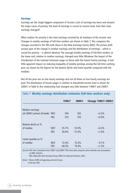#### *Earnings*

Earnings are the single biggest component of income. Lack of earnings has been and remains the major cause of poverty. The level of earnings is crucial to income level. How then have earnings changed?

What matters for poverty is the total earnings received by all members of the income unit. Changes in weekly earnings of full-time workers are shown in Table 7; this compares the changes recorded in the FRS with those in the New Earnings Survey (NES). The picture both surveys give of the change in median earnings and the distribution of earnings – which is crucial for poverty – is almost identical. The average weekly earnings of full-time workers at the lower end, relative to median earnings, changed very little. Whatever the impact of the introduction of the national minimum wage on those with the lowest hourly earnings, it had little apparent impact on reducing inequality of weekly earnings among the full-time working poor (as shown by the figures for the bottom decile and lower quartile compared with the median).

Not all the poor are on low hourly earnings and not all those on low hourly earnings are poor. The distribution of hourly wages in relation to household income level is shown for 2000/1 in Table 8; this relationship had changed very little between 1996/7 and 2000/1.

|                                              |                  | 1996/7 | 2000/1 | <b>Change 1996/7-2000/1</b> |
|----------------------------------------------|------------------|--------|--------|-----------------------------|
| Median earnings                              |                  |        |        |                             |
| (at 2000/1 prices) (£/week) NES <sup>1</sup> |                  | 344    | 362    | $+5.2%$                     |
|                                              | <b>FRS</b>       | 319    | 335    | $+5.0%$                     |
| Bottom decile as %                           |                  |        |        |                             |
| of median                                    | NES <sup>2</sup> | 55.7%  | 55.9%  | $+0.2%$                     |
|                                              | <b>FRS</b>       | 50.0%  | 51.0%  | $+1.0%$                     |
| Lower quartile as %                          |                  |        |        |                             |
| of median                                    | NES <sup>2</sup> | 72.4%  | 72.3%  | $-0.1%$                     |
|                                              | <b>FRS</b>       | 69.2%  | 70.4%  | $+1.2%$                     |

# Table 7 **Weekly earnings distribution estimates (full-time workers only)**

*Sources:* FRS: Own calculation from 1996/7 and 2000/1 FRS micro-data using the same methods and assumptions as HBAI statistics.

NES: Table A30, *New Earnings Survey*, Office for National Statistics, 2002.

*Notes:* 1 Mean of NES at beginning and end of year.

2 End year NES.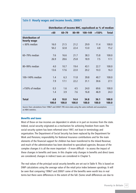#### Table 8 **Hourly wages and income levels, 2000/1**

|                                       |              |               |               | Distribution of income BHC, equivalised as % of median |               |                |
|---------------------------------------|--------------|---------------|---------------|--------------------------------------------------------|---------------|----------------|
|                                       | <60          | $60 - 79$     | $80 - 99$     | $100 - 149$                                            | >150%         | <b>Total</b>   |
| <b>Distribution of</b><br>hourly wage |              |               |               |                                                        |               |                |
| $< 60\%$ median                       | 16.0         | 21.5          | 21.2          | 29.9                                                   | 11.4          | 100.0          |
|                                       | 50.2         | 32.8          | 22.4          | 13.0                                                   | 4.8           | 15.2           |
| 60-79% median                         | 7.6          | 16.6          | 21.7          | 38.3                                                   | 15.8          | 100.0          |
|                                       | 26.9         | 28.6          | 25.8          | 18.9                                                   | 7.5           | 17.1           |
| 80-99% median                         | 4.0          | 10.7          | 19.4          | 43.1                                                   | 22.7          | 100.0          |
|                                       | 13.6         | 17.6          | 22.0          | 20.2                                                   | 10.3          | 16.3           |
| 100-149% median                       | 1.4          | 6.3           | 11.8          | 39.8                                                   | 40.7          | 100.0          |
|                                       | 7.9          | 17.1          | 22.2          | 31.1                                                   | 30.6          | 27.1           |
| $>150\%$ of median                    | 0.3          | 1.6           | 4.5           | 24.0                                                   | 69.6          | 100.0          |
|                                       | 1.4          | 3.9           | 7.6           | 16.8                                                   | 46.9          | 24.3           |
| <b>Total</b>                          | 4.8<br>100.0 | 10.0<br>100.0 | 14.4<br>100.0 | 34.8<br>100.0                                          | 36.1<br>100.0 | 100.0<br>100.0 |

*Source:* Own calculations from 1996/7 and 2000/1 FRS micro-data using the same methods and assumptions as HBAI statistics.

#### *Benefits and taxes*

Most of those on low incomes are dependent in whole or in part on incomes from the state. Indeed, social security originated as a mechanism for achieving freedom from want. The social security system has been reformed since 1997, not least in terminology and organisation. The Department of Social Security has been replaced by the Department for Work and Pensions; responsibility for National Insurance contributions and for the main elements of the financial support for children has been transferred to the Inland Revenue; and much of the administration has been devolved to specialised agencies. Because of the complex changes it is all the more important  $-$  if more difficult  $-$  to assess the impact of these changes in benefits and taxes. In this chapter only changes in benefits and direct taxes are considered; changes in indirect taxes are considered in Chapter 5.

The real values of the principal social security benefits are set out in Table 9. This is based on DWP calculations using the average value of the retail price index between upratings. It will be seen that comparing 1996/7 and 2000/1 some of the benefits were worth less in real terms but there were differences in the extent of the fall. (Some small differences are due to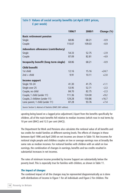|                                              | 1996/7 | 2000/1 | Change (%) |
|----------------------------------------------|--------|--------|------------|
| <b>Basic retirement pension</b>              |        |        |            |
| Single                                       | 68.86  | 68.21  | $-0.9$     |
| Couple                                       | 110.07 | 109.03 | $-0.9$     |
| <b>Jobseekers allowance (contributory)</b>   |        |        |            |
| Single                                       | 54.33  | 52.75  | $-2.9$     |
| Couple                                       | 87.09  | 82.81  | $-4.9$     |
| <b>Incapacity benefit (long term single)</b> | 68.86  | 68.21  | $-0.9$     |
| <b>Child benefit</b>                         |        |        |            |
| 1st child                                    | 12.16  | 15.16  | $+24.7$    |
| $2nd + child$                                | 9.91   | 10.11  | $+2.0$     |
| Income support                               |        |        |            |
| Single 18-24                                 | 41.30  | 41.75  | $+1.1$     |
| Single over 25                               | 53.95  | 52.71  | $-2.3$     |
| Couple, no child                             | 84.70  | 82.75  | $-2.3$     |
| Couple, 1 child (under 11)                   | 111.36 | 124.00 | $+9.2$     |
| Couple, 2 children (under 11)                | 129.28 | 150.86 | $+16.7$    |
| Lone parent, 1 child (under 11)              | 87.28  | 93.76  | $+7.4$     |

# Table 9 **Values of social security benefits (at April 2001 prices, £ per week)**

uprating being based on a lagged price adjustment.) Apart from the benefits specifically for children, all of the main benefits fell relative to median incomes (which rose in real terms by 10 per cent (BHC) and 12.5 per cent (AHC)).

The Department for Work and Pensions also calculates the notional value of all benefits and tax credits for model families at different earning levels. The effects of changes in these between April 1996 and April 2000 on net incomes are shown in Table 10. Net incomes for notional single people and childless couples on low or average earnings rose at broadly the same rate as median incomes. For notional families with children with an adult on low earnings, the combination of changes in earnings, benefits and tax credits resulted in substantial increases in net incomes.

The rates of minimum income provided by Income Support are substantially below the poverty level. This is especially true for families with children, as shown in Table 11.

#### *The impact of changes*

The combined impact of all the changes may be represented diagrammatically as is done with distributions of income in Figure 1 for all individuals and Figure 2 for children. The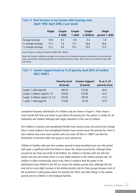# Table 10 **Real increase in net income after housing costs (April 1996–April 2000, £ per week)**

|                        | <b>Single</b> | Couple<br>0 child | Couple<br>1 child | Couple<br>2 children | <b>Single</b><br>parent 1 child |
|------------------------|---------------|-------------------|-------------------|----------------------|---------------------------------|
| Average earnings       | 10.8          | 8.3               | 8.9               | 9.2                  | 7.8                             |
| 2/3 average earnings   | 11.5          | 7.6               | 13.1              | 26.6                 | 20.8                            |
| $1/2$ average earnings | 12.2          | 6.8               | 25.2              | 29.0                 | 13.5                            |

*Source:* Section 4, *Abstract of Statistics* (DWP, 2001 edition).

*Notes:* Net income is defined as earnings: less income tax, less National Insurance contributions, less rent and local taxes, plus benefits and housing benefit, plus Inland Revenue tax credits. Net incomes are converted to April 2001 price levels.

| Table 11 Income support levels as % of poverty level (60% of median<br>AHC) 2000/1 |                                  |                                   |                             |
|------------------------------------------------------------------------------------|----------------------------------|-----------------------------------|-----------------------------|
|                                                                                    | <b>Poverty level</b><br>(f/week) | <b>Income Support</b><br>(f/week) | IS as % of<br>poverty level |
| Couple, 1 child (aged 8)                                                           | 188.20                           | 125.00                            | 66.4                        |
| Couple, 2 children (aged 8, 11)                                                    | 228.00                           | 153.80                            | 67.4                        |
| Couple, 3 children (aged 3, 8, 11)                                                 | 255.60                           | 182.50                            | 71.4                        |
| 1 adult, 1 child (aged 8)                                                          | 119.30                           | 81.00                             | 67.9                        |

cumulative frequency distributions for children only are shown in Figure 3. These show a small overall shift from just below to just above the poverty line. The pattern is similar for all individuals and children although with larger reductions in the case of children.

Few children in inactive and unemployed families have moved across the poverty line, though there is some evidence that unemployed families have moved nearer the poverty line. There is also evidence that some more inactive units are worse off than in 1996/7 and that the distribution of incomes within this group is more spread out.

Children in families with part-time workers seemed to have benefited most over this period with quite a significant shift from below to above the relative poverty line, although these account for less than one-tenth of all children. For children in families with one full-time worker and one non-worker, there is a very slight reduction in the relative poverty rate. For children in other economically active units, there is evidence that the peaks in the distributions have shifted to the left (i.e. nearer the relative poverty line), although this has only led to a very slight increase in the relative poverty rate for these groups because most of the movement is taking place above the poverty line. There was little change in the relative poverty rate for children in self-employed families.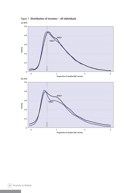

Figure 1 **Distribution of incomes – all individuals**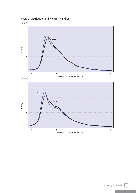

Figure 2 **Distribution of incomes – children**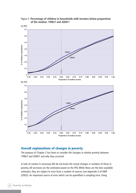

Figure 3 **Percentage of children in households with incomes below proportions of the median: 1996/7 and 2000/1**

# **Overall explanations of changes in poverty**

The purpose of Chapter 2 has been to consider the changes in relative poverty between 1996/7 and 2000/1 and why they occurred.

A note of caution is necessary. We do not know the actual changes in numbers of those in poverty. All we know are the estimates based on the FRS. While these are the best available estimates, they are subject to error from a number of sources (see Appendix II of DWP (2002)). An important source of error which can be quantified is sampling error. Using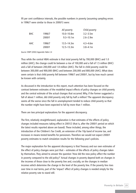95 per cent confidence intervals, the possible numbers in poverty (assuming sampling errors in 1996/7 were similar to those in 2000/1) were:

|            |        | All poverty     | Child poverty |
|------------|--------|-----------------|---------------|
| <b>BHC</b> | 1996/7 | $10.0 - 10.8$ m | $3.2 - 3.5m$  |
|            | 2000/1 | $9.3 - 10.1$ m  | $2.6 - 2.9$ m |
| AHC        | 1996/7 | $13.5 - 14.3m$  | $4.3 - 4.6m$  |
|            | 2000/1 | $12.5 - 13.3m$  | $3.8 - 4.1m$  |

*Source*: DWP (2002) Appendix Table 2.4

Thus while the central HBAI estimate is that total poverty fell by 700,000 (BHC) and 1.0 million (AHC), the change could lie between a rise of 100,000 and a fall of 1.5 million (BHC) and a fall of between 200,000 and 1.8 million (AHC). The fall in child poverty could lie between 300,000 and 900,000 (BHC) and between 200,000 and 800,000 (AHC). What does seem certain is that child poverty fell between 1996/7 and 2000/1, but by how much cannot be known with certainty.

As discussed in the introduction to this report, much attention has been focused on the contrast between estimates of the modelled impact effects of policy changes on child poverty and the central estimate of the actual changes that occurred. Why, if the former suggested a fall of about 1 million, did child poverty only fall by half a million? The apparent discrepancy seems all the worse since the fall in unemployment tended to reduce child poverty so that the number might have been expected to fall by more than 1 million.

There are two principal explanations for the apparent discrepancy.

The first, relatively straightforward, explanation is that estimates of the effects of policy changes included measures taking effect in 2001/2 (that is, after the 2000/1 period on which the latest results reported above are based). These included, among other things, the introduction of the Children's Tax Credit, an extension of the 10p band of income tax, and increases in means-tested benefits for pensioners. Therefore we would not expect 2000/1 poverty estimates to match simulation results for the following year's policies.

The major explanation for the apparent discrepancy is that Treasury and our own estimates of the effect of policy changes were just that – estimates of the effects of policy changes taken by themselves. They aimed to answer the question 'How did the new policy affect the number in poverty compared to the old policy?' Actual changes in poverty depend both on changes in the incomes of those close to the poverty line and, crucially, on the changes in median incomes which determine the change in the level of the poverty line. If the poverty line rises over time in real terms, part of the 'impact' effect of policy changes is needed simply for the relative poverty rate to stand still.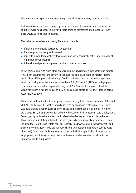This inter-relationship makes understanding actual changes in poverty somewhat difficult.

If all earnings and incomes changed by the same amount, if benefits rose at the same rate, and there were no changes in the way people organise themselves into households, then there would be no change in poverty.

Many changes could reduce poverty. There would be a fall:

- if rich and poor people decided to live together
- if earnings for the low paid increased
- if people moved from relatively low incomes on social security benefits into employment on higher earned incomes
- if benefits and pensions improved relative to median incomes.

In this study, along with much other analysis (and the government's own short-term targets), it has been assumed that the poverty line should rise at the same rate as median income levels. Clearly if the poverty level is kept fixed in real terms then the reduction in poverty would be much greater. For instance, instead of a 1.4 (BHC) or 2.0 (AHC) percentage point reduction in the proportion in poverty, using the 1996/7 constant real poverty level there would have been a fall of 5 (BHC) or 8 (AHC) percentage points, or 4.1 or 3.1 million people respectively, by 2000/1.

The overall explanation for the changes in relative poverty that occurred between 1996/7 and 2000/1 is fairly clear. The relative poverty line rose by about one-tenth in real terms. There was little change in family types or in the shape of the distribution of earnings. Two things did change. First, unemployment fell and more households had someone in paid employment. Second, policy on benefits and tax credits clearly disadvantaged some and helped others. Those with benefits falling relative to incomes generally were more likely to be losers. They included those on the basic state pension, jobseeker's allowance and incapacity benefit and those on Income Support who did not have children. (In addition lone parent benefits were abolished.) Those more likely to gain were those with children, particularly low earners in employment, and this was a major factor in the reduction by some half a million in the number of children in poverty.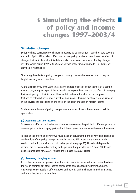# **3 Simulating the effects of policy and income changes 1997–2003/4**

# **Simulating changes**

So far we have considered the changes in poverty up to March 2001, based on data covering the period April 1996 to March 2001. We can use policy simulation to estimate the effect of changes that took place after this date and also to focus on the effects of policy changes over the whole period 1997–2003/4. More details of the simulation model, POLIMOD, are provided in Appendix III.

Simulating the effects of policy changes on poverty is somewhat complex and it may be helpful to clarify what is involved.

At the simplest level, if we want to assess the impact of specific policy changes at a point in time we can, using a sample of the population at a given time, simulate the effect of changing tax/benefit policy on their incomes. If we wish to estimate the effect of this on poverty (defined as below 60 per cent of current median income) then we must make an adjustment in the poverty line depending on the effect of the policy changes on median income.

To simulate the impact of policy changes over a number of years there are two possible approaches:

### *(a)* **Assuming constant incomes**

To assess the effect of policy changes alone we can convert the policies in different years to a constant price basis and apply policies for different years to a sample with constant incomes.

To look at the effects on poverty we must make an adjustment in the poverty line depending on the effect of the policy changes on median income. This approach is adopted in the section considering the effects of policy changes alone (page 26). Household disposable incomes are re-calculated according to the policies that prevailed in 1997 and 2000/1 and policies announced for 2003/4. Policies are re-based in 2000/1 prices.

### *(b)* **Assuming changing incomes**

In practice, incomes change over time. The main reason in the period under review has been the rise in earnings but other income components have changed by different amounts. Changing incomes result in different taxes and benefits and in changes in median incomes and in the level of the poverty line.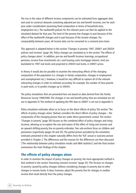The rise in the value of different income components can be estimated from aggregate data and used to construct datasets containing adjusted pre-tax and benefit incomes, one for each year under consideration (assuming fixed composition in terms of household sizes, employment etc.). The tax/benefit policies for the relevant years can then be applied to the simulated dataset for that year. The level of the poverty line changes in part because of the effect of the tax/benefit changes and in part because of the income changes. For comparability between years, all income data can be converted to a constant price basis.

This approach is adopted below in the section 'Changes in poverty: 1997, 2000/1 and 2003/4 policies and incomes' (page 30). Policy changes are simulated as in the section 'The effects of policy changes alone'. In addition, pre-tax and benefit incomes (earnings, occupational pensions, income from investments etc.) and housing costs (mortgage interest, rent) are backdated to 1997 real levels and projected to 2003/4 real levels, in 2000/1 prices.

In theory it would also be possible to examine the interacting effects of the changing composition of the population (i.e. changes in family composition, changes in employment and unemployment etc.). However, it would be very difficult to capture all of the relevant interacting changes in order to estimate accurately, for example, the number of lone parents in paid work, or to predict changes up to 2003/4.

The policy simulations that are presented here are based on data derived from the Family Resources Survey 1999/2000. The changes in tax and benefit policy that are simulated are set out in Appendix IV. The method of updating the FRS data to 2000/1 is set out in Appendix V.

Policy simulation estimates allow us to focus on the direct effects of policy. The section 'The effects of policy changes alone' (below) considers the direct effects of policy changes – the components of the changing picture that are under direct government control. The section 'Changes in poverty' (page 30) focuses on the combined effect of policy changes and rising incomes, allowing us to explore the size and nature of the effect of rising real incomes and an upward shifting poverty line on poverty estimates. Two sub-sections focus on children and pensioners respectively (pages 30 and 35). The partial picture provided by the simulation estimates presented in this chapter naturally differs from the 'full' actual or outcome picture provided in Chapter 2. The differences and the reasons for the differences are then discussed ('The relationship between policy simulation results and HBAI statistics') and the final section summarises the main findings of the chapter.

# **The effects of policy changes alone**

In order to examine the impact of policy changes on poverty, the most appropriate method is that outlined in the section 'Assuming constant incomes' (page 25). This focuses on changes in poverty caused by policy changes without considering changes in poverty due to other changes in income levels. It does, however, adjust the poverty line for changes in median income that result directly from the policy changes.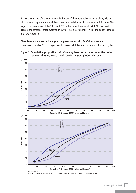In this section therefore we examine the impact of the direct policy changes alone, without also trying to capture the – mainly exogenous – real changes in pre-tax benefit incomes. We adjust the parameters of the 1997 and 2003/4 tax-benefit systems to 2000/1 prices and explore the effects of these systems on 2000/1 incomes. Appendix IV lists the policy changes that are modelled.

The effects of the three policy regimes on poverty rates using 2000/1 incomes are summarised in Table 12. The impact on the income distribution in relation to the poverty line





*Notes*: The distributions are shown from 35% to 100% of the median; observations below 35% are shown at 35%.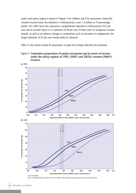under each policy regime is shown in Figures 4 for children and 5 for pensioners. Using this constant income basis, the reduction in child poverty is over 1.3 million or 10 percentage points.2 On a BHC basis this represents a proportional reduction in child poverty of 41 per cent and on an AHC basis it is a reduction of 30 per cent. If there were no exogenous income growth, as well as no adverse changes in composition such as decreases in employment, the target reduction of 25 per cent would easily be achieved.

Table 12 also shows results for pensioners. In spite of no target reduction for pensioner



Figure 5 **Cumulative proportions of** *people over pension age* **by levels of income, under the policy regimes of 1997, 2000/1 and 2003/4:** *constant* **(2000/1) incomes**

*Notes*: The distributions are shown from 35% to 100% of the median; observations below 35% are shown at 35%.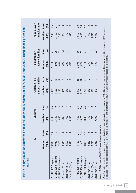| Number                                                           | $\overline{a}$ | Children        |                          | parent families<br>Children in 2 |                          | parent families<br>Children in 1 |                 | pension         | age<br>People over |
|------------------------------------------------------------------|----------------|-----------------|--------------------------|----------------------------------|--------------------------|----------------------------------|-----------------|-----------------|--------------------|
| (000)                                                            | Rate<br>(%)    | Number<br>(000) | Rate<br>(%)              | Number<br>(000)                  | Rate<br>(%)              | Number<br>(000)                  | Rate<br>(%)     | Number<br>(000) | Rate<br>(%)        |
| 10,930<br>(1) BHC 1997 regime                                    | $\overline{0}$ | 3,300           | 26                       | 0661                             | 20                       | 1,310                            | $\frac{1}{2}$   | 2,530           | 25                 |
| 9,020<br>(2) BHC 2000/1 regime                                   | $\frac{6}{1}$  | 2,420           | $\overline{0}$           | 1,530                            | $\frac{6}{1}$            | 890                              | 29              | 2,160           | $\overline{21}$    |
| 7,500<br>(3) BHC 2003/4 regime                                   | $\tilde{\Xi}$  | 1,960           | 15                       | 1,290                            | $\tilde{c}$              | 660                              | 22              | 1,550           | 15                 |
| 0161<br>Reduction (1)-(2)                                        |                | 890             | $\overline{\phantom{0}}$ | 460                              | 5                        | 420                              | $\overline{11}$ | 370             | 4                  |
| 1,520<br>Reduction (2)-(3)                                       |                | 460             | 4                        | 240                              | $\sim$                   | 220                              |                 | 610             | 9                  |
| 3,430<br>Reduction (1)-(3)                                       | అ              | 1,340           | $\overline{0}$           | 700                              | $\overline{\phantom{0}}$ | 640                              | 21              | 980             | $\overline{0}$     |
| 14,160<br>(1) AHC 1997 regime                                    | 25             | 4,420           | 34                       | 2,440                            | 25                       | 2,000                            | 99              | 3,050           | 30                 |
| 12,910<br>(2) AHC 2000/1 regime                                  | 23             | 3,870           | 30                       | 2,200                            | 22                       | 1,670                            | 55              | 2,640           | 26                 |
| 9,800<br>(3) AHC 2003/4 regime                                   |                | 3,080           | 24                       | 1,770                            | $\frac{8}{1}$            | 1,320                            | 43              | 1,210           | $\overline{c}$     |
| 1,250<br>Reduction (1)-(2)                                       |                | 550             | 4                        | 240                              | $\sim$                   | 330                              | $\overline{11}$ | 400             | 4                  |
| 3,110<br>Reduction (2)-(3)                                       |                | 790             | م                        | 430                              | 4                        | 350                              | $\overline{2}$  | 1,440           | 14                 |
| 4,360<br>Reduction (1)-(3)                                       | ∞              | 1,330           | $\overline{0}$           | 0/9                              |                          | 680                              | $\overline{2}$  | 1,840           | $\frac{8}{2}$      |
| Source: POLIMOD based on 1999/2000 Family Resources Survey data. |                |                 |                          |                                  |                          |                                  |                 |                 |                    |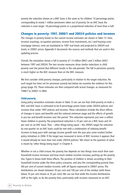poverty the reduction shown on a BHC basis is the same as for children: 10 percentage points, corresponding to nearly 1 million pensioners taken out of poverty. On an AHC basis the reduction is even larger: 18 percentage points or a proportional reduction of more than a half.

# **Changes in poverty: 1997, 2000/1 and 2003/4 policies and incomes**

The changes in poverty based on the current income estimates are shown in Table 13. Here, incomes (earnings, occupation pensions, income from investments, etc.) and housing costs (mortgage interest, rent) are backdated to 1997 real levels and projected to 2003/4 real levels, in 2000/1 prices. Appendix V documents the sources and methods that are used in this updating process.

Overall, the simulation shows a fall in poverty of 1.9 million (BHC) and 3 million (AHC) between 1997 and 2003/4. The two income measures show similar reductions in child poverty over the period (but different results in the sub-periods). The fall in pensioner poverty is much higher on the AHC measure than on the BHC measure.

We first consider child poverty changes, particularly in relation to the target reduction. No such target has been set for pensioner poverty but below we examine the evidence for this group (page 35). These estimates are then compared with actual changes, as measured for 1996/7 to 2000/1 in HBAI.

#### *Child poverty*

Using policy simulation estimates shown in Table 13 we can see that child poverty on both a BHC and AHC basis is estimated to be 8 percentage points lower under 2003/4 policies and incomes than under 1997 policies and incomes. These calculations include the direct effects of changes in taxes and benefits and the national minimum wage and the effects of growth in pre-tax and benefit incomes over the period.<sup>3</sup> This reduction represents just over a million fewer children in poverty. The proportional reduction is 33 per cent on a BHC basis and 24 per cent on an AHC basis. Thus – other things being equal – the 2004/5 target for reduction by one-quarter on an AHC basis could be met with a combination of indexing benefit incomes to keep pace with average income growth over the year plus some modest further policy initiatives in 2004. If the target was measured in terms of BHC incomes it appears that it would already be more than met under 2003/4 policies.<sup>4</sup> We return to the question of what is meant by 'other things being equal' in Chapter 4.

Whether or not a child crosses the poverty line depends on two things: how much their own household income increases and how much median incomes increase, pushing up the poverty line. Figure 6 shows both these effects. The position of children is shown according to their household income under the three policy scenarios, and also the corresponding poverty lines (60 per cent of current median income), with all figures expressed in 2000/1 prices. The distributions are shown between 35 per cent and 100 per cent of the median (with those below 35 per cent shown at 35 per cent). We can see that while the income distributions shift to the right, so do the poverty lines, particularly with incomes measured on an AHC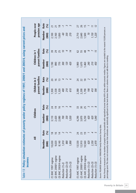|                                 | $\overline{a}$ |                | Children            |                | parent families<br>Children in 2 |                | parent families<br>Children in 1 |                          | pension age<br>People over |                 |
|---------------------------------|----------------|----------------|---------------------|----------------|----------------------------------|----------------|----------------------------------|--------------------------|----------------------------|-----------------|
| Number<br>(000)                 |                | Rate<br>(%)    | umber<br>(000)<br>ž | Rate<br>(%)    | Number<br>(000)                  | Rate<br>(%)    | Number<br>(000)                  | Rate<br>(%)              | Number<br>(000)            | Rate<br>(%)     |
| 10,030<br>(1) BHC 1997 regime   |                | $\infty$       | 3,110               | 24             | 1,930                            | $\overline{C}$ | 1,190                            | 39                       | 2,100                      |                 |
| 9,020<br>(2) BHC 2000/1 regime  |                | $\overline{9}$ | 2,420               | $\overline{0}$ | 1,530                            | $\frac{6}{1}$  | 890                              | 29                       | 2,160                      | $\overline{21}$ |
| 8,140<br>(3) BHC 2003/4 regime  |                | $\overline{4}$ | 2,080               | $\frac{6}{5}$  | 1,320                            | $\tilde{1}$    | 770                              | 25                       | 1,830                      | $\frac{8}{18}$  |
| 1,010<br>Reduction (1)-2)       |                |                | 700                 | 5              | 400                              | 4              | 300                              | $\overline{c}$           | $-60$                      | $-1$            |
| 880<br>Reduction (2)-(3)        |                |                | 330                 | $\sim$         | 210                              | $\sim$         | 120                              | 4                        | 330                        | $\omega$        |
| 1,890<br>Reduction (1)-(3)      |                |                | 1,030               | $\infty$       | 610                              | ما             | 420                              | $\overline{1}$           | 270                        | $\mathsf{m}$    |
| 13,530<br>(1) AHC 1997 regime   |                | 24             | 4,290               | 33             | 2,380                            | 24             | 1,900                            | 2                        | 2,710                      | 27              |
| 12,910<br>(2) AHC 2000/1 regime |                | 23             | 3,870               | 30             | 2,200                            | 22             | 1,670                            | 55                       | 2,640                      | 26              |
| 10,560<br>(3) AHC 2003/4 regime |                | <u>ღ</u>       | 3,250               | 25             | 1,790                            | $\frac{8}{1}$  | 1,460                            | $\frac{8}{3}$            | 1,500                      | 15              |
| 620<br>Reduction (1)-(2)        |                |                | 420                 | S              | 190                              | $\sim$         | 240                              | $\infty$                 | $\mathcal{L}$              |                 |
| 2,350<br>Reduction (2)-(3)      |                |                | 620                 | 5              | 410                              | 4              | 210                              | $\overline{\phantom{0}}$ | 1,150                      | $\overline{1}$  |
| 2,970<br>Reduction (1)-(3)      |                | m              | 1,040               | $\infty$       | 590                              | ما             | 450                              | 57                       | 1,220                      | $\tilde{z}$     |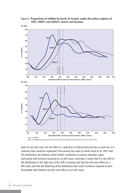



*Notes*: The distributions are shown from 35% to 100% of the median; observations below 35% are shown at 35%.

basis. As we have seen, the net effect is a reduction in child poverty but this is much less of a reduction than would be registered if the poverty line were to remain fixed at its 1997 level. The distribution also flattens, which further contributes to poverty reduction, again, particularly with incomes measured on an AHC basis. Generally, it seems that it is the shift of the distribution to the right (net of the shift in poverty line) that has the most effect on a BHC basis and that the flattening of the distribution (the result of policies targeted on poor households with children) has the most effect on an AHC basis.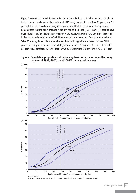Figure 7 presents the same information but draws the child income distributions on a cumulative basis. If the poverty line were fixed at its real 1997 level, instead of falling from 33 per cent to 25 per cent, the child poverty rate using AHC incomes would fall to 18 per cent. The figure also demonstrates that the policy changes in the first half of the period (1997–2000/1) tended to have most effect in moving children from well below the poverty line up to it. Changes in the second half of the period tended to benefit children across the whole section of the distribution shown. Table 13 distinguishes children by whether they are living with one parent or two. Child poverty in one-parent families is much higher under the 1997 regime (39 per cent BHC; 62 per cent AHC) compared with the rate in two-parent families (20 per cent BHC; 24 per cent



Figure 7 **Cumulative proportions of** *children* **by levels of income, under the policy regimes of 1997, 2000/1 and 2003/4:** *current* **real incomes**

*Notes*: The distributions are shown from 35% to 100% of the median; observations below 35% are shown at 35%.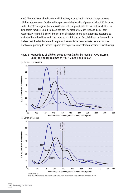AHC). The proportional reduction in child poverty is quite similar in both groups, leaving children in one-parent families with a persistently higher risk of poverty. Using AHC incomes under the 2003/4 regime the rate is 48 per cent, compared with 18 per cent for children in two-parent families. On a BHC basis the poverty rates are 25 per cent and 13 per cent respectively. Figure 8(a) shows the position of children in one-parent families according to their AHC household income in the same way as it is shown for all children in Figure 6(b). It is clear that the distribution of lone-parent incomes is very concentrated around income levels corresponding to Income Support. The degree of concentration becomes less following





*Notes*: The distributions are shown from 35% to 100% of the median; observations below 35% are shown at 35%.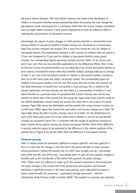the policy reforms between 1997 and 2003/4. However, the mode of the distribution of children in one-parent families remains persistently below the poverty line even though the gap between mode and poverty line is narrowing. Aside from the income changes considered here we might expect increases in lone-parent employment to have an additional effect in reducing the concentration of lone-parent incomes.

Interestingly, the impact of policy changes on child poverty reduction is substantially lower among children in one-parent families if market incomes are calculated on a current basis than if we assume constant real incomes. This is much less clearly the case for children in two-parent families. The proportional reduction in AHC poverty for children with one parent is 23 per cent compared to 25 per cent for children in two-parent families using current incomes. The corresponding figures assuming constant incomes (Table 12) are 34 per cent and 27 per cent. There are two possible explanations for the differential effects. First, it may be that low income one-parent families are less likely than low income two-parent families to have sources of household income other than benefits. Indeed, earnings make up an average of only 11 per cent of the household incomes of children in lone-parent families counted as poor on an AHC basis under the 2000/1 tax-benefit system. The corresponding figure for children in two-parent families is 45 per cent. This means that low income lone parents are less likely themselves to benefit from real growth in (say) earnings. This is related to the second explanation: we have already seen that there is a concentration of children in oneparent families at a particular level of equivalised AHC income. Poverty rates will be very sensitive to which side of the poverty line this group lies. Figure 8(a) shows that the mode of the 2003/4 distribution remains below the poverty line when this is set in terms of current incomes. Figure 8(b) shows the distribution and the poverty lines using constant incomes on an AHC basis. While Figure 8(a) showed the case where real incomes change (as in Table 13), Figure 8(b) shows the effect of policy changes alone (as in Table 12). The distributions for each of the three policy years are in fact rather similar whether or not pre-tax and benefit incomes are assumed to grow. This is consistent with the receipt of significant amounts of these incomes being atypical among low income one-parent families. Most of the difference in poverty reduction seems to be explained by the difference in the relative positions of the poverty lines in Figure 8 (a) and (b) rather than any difference in lone-parent incomes.

#### *Pensioner poverty*

Table 13 shows results for pensioners (defined as women aged  $60+$  and men aged  $65+$ ).<sup>5</sup> First, it is clear that the changes in the first half of the period did little to reduce poverty among pensioners. Indeed, the poverty rate on a BHC basis actually rose by 1 percentage point while the AHC rate fell by only 1 percentage point. In spite of some positive changes in benefits such as the introduction of the winter fuel payment, the policy changes 1997–2000/1 were not sufficient to make up for the upward movement in the poverty line. The policy changes in the second half of the period were more positive and dramatic (including a significant increase in the basic state pension, more substantial increases in means-tested benefits for pensioners – particularly younger pensioners – and the introduction of the Pension Credit in October 2003).<sup>6</sup> This resulted in a poverty rate reduction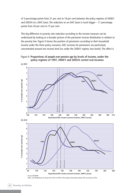of 3 percentage points from 21 per cent to 18 per cent between the policy regimes of 2000/1 and 2003/4 on a BHC basis. The reduction on an AHC basis is much bigger – 11 percentage points from 26 per cent to 15 per cent.

This big difference in poverty rate reduction according to the income measure can be understood by looking at a broader picture of the pensioner income distribution in relation to the poverty line. Figure 9 shows the position of pensioners according to their household income under the three policy scenarios. AHC incomes for pensioners are particularly concentrated around one income level (or, under the 2000/1 regime, two levels). The effect is





*Notes*: The distributions are shown from 35% to 100% of the median; observations below 35% are shown at 35%.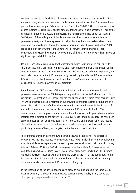not quite as marked as for children of lone parents shown in Figure 8, but the explanation is the same. Many low income pensioners are living on identical levels of AHC income – those provided by Income Support (Minimum Income Guarantee (IS/MIG)). On an equivalised basis, benefit incomes for couples are slightly different than those for single pensioners – hence the bi-modal distribution in 2000/1. If the poverty line had remained fixed at its 1997 level in 2000/1, one of the modal parts of the distribution would have risen above the line and pensioner poverty would have appeared to fall further than it did on a relative basis. Using contemporary poverty lines few of the pensioners with household incomes reliant on IS/MIG are taken out of poverty. Under the 2003/4 system, however, minimum incomes for pensioners are increased by enough to move many of them across the poverty line, in spite of significant upward shift in the line.

On a BHC basis there is no single level of income on which large groups of pensioners live. This is because many pensioners on IS/MIG also receive Housing Benefit. The amount of this depends on rent as well as income. Both BHC and AHC incomes include Housing Benefit, but rent is also deducted in the AHC case – exactly neutralising the effect of HB in cases where IS/MIG is received. For this reason the distribution is less 'lumpy' and the numbers of pensioners crossing the poverty line less dramatic.

Both the BHC and AHC versions of Figure 9 indicate a significant improvement in real pensioner incomes under the 2003/4 regime compared with that of 2000/1, and a less clearcut picture – at least on a BHC basis – for the earlier period. This is more easily seen in Figure 10, which presents the same information but draws the pensioner income distributions on a cumulative basis. The lack of relative improvement in pensioner incomes in the first part of the period is obvious across this whole section of the BHC income distribution. This conclusion about lack of poverty reduction is not at all sensitive to the proportion of median incomes that is defined as the poverty line. On an AHC basis there does appear to have been some improvement but again this applies across the whole of the lower half of the income distribution, as shown. In the second part of the period there is a clear increase in income, particularly on an AHC basis, and targeted on the bottom of the distribution.

The difference shown by using the two income measures is interesting. The difference between BHC and AHC incomes for pensioners tends to be smaller than for the population as a whole, mainly because pensioner owner-occupiers have small or zero debt on which to pay interest.7 Between 1997 and 2000/1 housing costs rose faster than BHC incomes for the population as a whole, resulting in AHC incomes that grew more slowly than BHC incomes. Generally, pensioner incomes were falling behind those of the rest of the population, so the increase on a BHC basis is small. On an AHC basis it is larger because pensioner housing costs are a smaller component of AHC incomes for this group.

In the second part of the period housing costs grow on average at about the same rate as incomes generally.<sup>8</sup> On both income measures pensioner poverty falls, mainly due to the direct policy changes introduced after March 2001.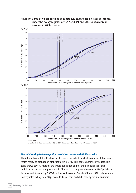

Figure 10 **Cumulative proportions of** *people over pension age* **by level of income, under the policy regimes of 1997, 2000/1 and 2003/4:** *current* **real incomes in 2000/1 prices**

*Notes*: The distributions are shown from 35% to 100% of the median; observations below 35% are shown at 35%.

#### *The relationship between policy simulation results and HBAI statistics*

The information in Table 13 allows us to assess the extent to which policy simulation results match reality as captured by statistics taken directly from contemporary survey data. This table shows poverty rates for the whole population and for children using the same definitions of income and poverty as in Chapter 2. It compares these under 1997 policies and incomes with those using 2000/1 policies and incomes. On a BHC basis HBAI statistics show poverty rates falling from 18 per cent to 17 per cent and child poverty rates falling from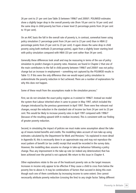26 per cent to 21 per cent (see Table 3) between 1996/7 and 2000/1. POLIMOD estimates show a slightly larger drop in the overall poverty rate (from 18 per cent to 16 per cent) and the same drop in child poverty but from a lower level (5 percentage points from 24 per cent to 19 per cent).

On an AHC basis the fall in the overall rate of poverty is, in contrast, somewhat lower using policy simulation (1 percentage point from 24 per cent to 23 per cent) than in HBAI (2 percentage points from 25 per cent to 23 per cent). It again shows the same drop in child poverty using both methods (3 percentage points), again from a slightly lower starting level with policy simulation compared with HBAI (33 per cent rather than 34 per cent).

Generally these differences look small and may be reassuring in terms of the use of policy simulation to predict changes in poverty rates. However, we found in Chapter 2 that one of the main contributors to the fall in child poverty between 1996/7 and 2000/1 was not policy change but an increase in employment – something not captured by the POLIMOD results in Table 13. If this were the only difference then we would expect policy simulation to underestimate the poverty reduction in fact achieved. There are a number of explanations for why this does not happen.

Some of these result from the assumptions made in the simulation process.<sup>9</sup>

First, we do not simulate the exact policy regime as it existed in 1996/7. Instead we model the system that Labour inherited when it came to power in May 1997, which included the changes introduced by the previous government in April 1997. There were few relevant real changes, except the reduction in the standard rate of income tax from 24 per cent to 23 per cent. This would be likely to increase poverty rates in April 1997 compared with 1996/7 (because of the resulting upward shift in median incomes). This is consistent with our finding of greater poverty reduction.

Second, in simulating the impact of policies we must make some assumption about the takeup of means-tested benefits and credits. The modelling takes account of non-take-up using estimates calculated by the Department for Work and Pensions.<sup>10</sup> As explained in more detail in Appendix III, this is necessarily done in an approximate way and may not reproduce the exact pattern of benefit (or tax credit) receipt that would be recorded in the survey data. However, the modelling does assume no change in take-up behaviour following a policy change. Thus any improvement in the take-up rate (or indeed any deterioration) that has been achieved over the period is not captured. We return to this issue in Chapter 4.

Other explanations relate to the use of the headcount poverty rate as the target measure. Increases in income only appear to be effective if they cause a child to cross from below the poverty line to above it. It may be combinations of factors that succeed in doing this even though each one of them contributes by increasing income to some extent. One cannot necessarily attribute poverty reduction (crossing the line) to any single factor. Taking different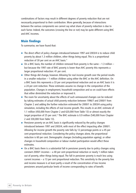combinations of factors may result in different degrees of poverty reduction that are not necessarily proportional to their contribution. More generally, because of interactions between the various components we cannot say what share of poverty reduction is due to each factor. Indeed, the outcomes (crossing the line or not) may be quite different using BHC and AHC incomes.

## **Main findings**

To summarise, we have found that:

- The direct effect of policy changes introduced between 1997 and 2003/4 is to reduce child poverty by about 1.3 million children, other things being equal. This is a proportional reduction of 30 per cent on an AHC basis.<sup>11</sup>
- On a BHC basis, the number of children removed from poverty is the same  $-1.3$  million  $$ but because the 1997 rate of BHC poverty is lower than AHC poverty this represents a larger proportional reduction: 41 per cent.
- Other things did change, however. Allowing for real income growth over the period results in a smaller reduction – 1 million children using either the BHC or the AHC definition. On a BHC basis this represents a 33 per cent proportional reduction and on an AHC basis it is a 24 per cent reduction. These estimates assume no change in the composition of the population. Changes in employment, household composition and so on could have effects that either diminished the reduction or improved it.
- The room for uncertainty about the effects of such unmeasured changes can be reduced by taking estimates of actual child poverty reduction between 1996/7 and 2000/1 from Chapter 2 and adding the further reduction estimated for 2000/1 to 2003/4 using policy simulation, including the effects of real income growth. This results in an AHC estimate of 1.1 million (450,000 from Chapter 2 and 620,000 from Table 13) or almost exactly the target proportion of 25 per cent.<sup>12</sup> The BHC estimate is 0.9 million (540,000 from Chapter 2 and 330,000 from Table 13).
- Pensioner poverty on an AHC basis is significantly reduced by the policy changes introduced between 1997 and 2003/4, with most of the effect impacting after 2000/1. Allowing for income growth the poverty rate falls by 12 percentage points or a 45 per cent proportional reduction. Considering the policy changes alone, the proportional reduction is 60 per cent. Demographic changes (including population ageing), or other changes in household composition or labour market participation would affect these estimates.
- On a BHC basis there is a substantial fall in pensioner poverty due to policy changes using constant 2000/1 incomes – a 40 per cent proportional reduction or nearly 1 million taken out of poverty, other things being equal. The fall in pensioner poverty is much less using current incomes – a 13 per cent proportional reduction. This sensitivity to the poverty line and income measure is at least partly a result of the concentration of low income pensioners around particular levels of income corresponding to rates of benefit.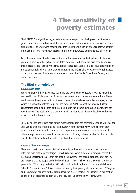## **4 The sensitivity of poverty estimates**

The POLIMOD analysis has suggested a number of respects in which poverty estimates in general and those based on simulated incomes in particular may be very sensitive to certain assumptions. The underlying assumptions that underpin this sort of analysis deserve scrutiny if the estimates that have been presented are to be interpreted and made use of correctly.

First, there are some standard assumptions that are common to the kinds of calculations presented here, whether actual or simulated data are used. These are discussed below. We then discuss issues raised by the simulation process itself (page 42) and focus particularly on the statistical reliability of simulated estimates (page 44). Finally, we explore the robustness of results to the use of an alternative source of data: the Family Expenditure Survey, and draw conclusions.

### **The HBAI methodology**

#### *Equivalence scale*

We have adopted the equivalence scale and the two income concepts (BHC and AHC) that are used in the official analysis of low income (see Appendix I). We are aware that different results would be obtained with a different choice of equivalence scale. For example, a scale which replicated the effective equivalence ratios in IS/MIG benefit rates would further concentrate people on benefit at the same point in the income distribution, particularly for AHC incomes. The position of the poverty line in relation to this income level would be even more crucial for the outcome.

The equivalence scale used here differs most notably from the commonly used OECD scale for very young children. This points to less poverty in families with very young children than would otherwise be recorded. It is not the purpose here to discuss the relative merits of different equivalence scales or to show the effects of using different scales. But the possible sensitivity of the results to the scale used should be borne in mind.

#### *Choice of income concept*

The use of two income concepts is itself inherently problematic. If we must use one  $-$  as is often the case with a specific target – which is better? What if they tell a different story? It is not even necessarily the case that the people in poverty or the people brought out of poverty are largely the same people under both definitions. Table 14 shows the children in and out of poverty in 2003/4 compared with 1997 using both definitions, based on the material shown in Table 13 (current incomes). This classifies children by their poverty status under the 1997 regime and shows what happens to that group under the 2003/4 regime. For example, 24 per cent of all children are classified as both BHC and AHC poor under the 1997 regime. Of these,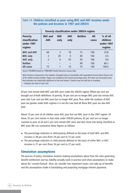## Table 14 **Children classified as poor using BHC and AHC incomes under the policies and incomes in 1997 and 2003/4**

|                                                          | Poverty classification under 2003/4 regime |                    |                    |                |                     |                                                |  |  |
|----------------------------------------------------------|--------------------------------------------|--------------------|--------------------|----------------|---------------------|------------------------------------------------|--|--|
| <b>Poverty</b><br>classification<br>under 1997<br>regime | <b>BHC</b> and<br><b>AHC</b>               | <b>BHC</b><br>only | <b>AHC</b><br>only | <b>Neither</b> | <b>All</b><br>cases | $%$ of all<br>children<br>under 1997<br>regime |  |  |
| <b>BHC and AHC</b>                                       | 64                                         | 3                  | 18                 | 15             | 100                 | 23.8                                           |  |  |
| <b>BHC only</b>                                          | $\overline{2}$                             | 29                 | $\Omega$           | 69             | 100                 | 0.5                                            |  |  |
| <b>AHC only</b>                                          | $\overline{2}$                             | $\theta$           | 55                 | 43             | 100                 | 9.6                                            |  |  |
| <b>Neither</b>                                           | $\tilde{}$                                 | $\tilde{}$         | $\sim$             | 99             | 100                 | 66.1                                           |  |  |
| All cases                                                | 15                                         |                    | 10                 | 74             | 100                 | 100.0                                          |  |  |

*Source*: POLIMOD based on 1999/2000 Family Resources Survey data.

*Note*: Poverty is measured as the numbers of people living in households with equivalised income below 60 per cent of the within-scenario median. Figures are rounded to the nearest percentage point. This does not necessarily mean that estimates are statistically significant to the level shown. Columns may not add due to rounding.  $\sim$  indicates less than 0.5 per cent.

64 per cent remain both BHC and AHC poor under the 2003/4 regime. Fifteen per cent are brought out of both definitions of poverty, 18 per cent are no longer BHC poor but remain AHC poor and 3 per cent are BHC poor but no longer AHC poor. Thus, while the numbers of AHC poor are greater under both regimes it is not the case that all those BHC poor are also AHC poor.

About 10 per cent of all children were AHC poor but not BHC poor in the 1997 regime. Of these, 55 per cent remain in that state under 2003/4 policies, 43 per cent are no longer counted as poor at all and 2 per cent remain AHC poor and also move into being classified as BHC poor. We can summarise these figures as follows:

- The percentage reduction in child poverty defined on the basis of *both* BHC *and* AHC incomes is 38 per cent (from 24 per cent to 15 per cent).
- The percentage reduction in child poverty defined on the basis of *either* BHC *or* AHC incomes is 21 per cent (from 34 per cent to 27 per cent).

## **Simulation assumptions**

The process of policy simulation involves making assumptions about how the rules governing benefit entitlement and tax liability actually work in practice and what assumptions to make about the 'counter-factual'. Here, we consider two important issues: non-take-up of benefits and the assumptions made in backdating and projecting mortgage interest payments.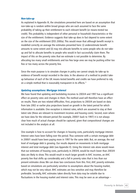#### *Non-take-up*

As explained in Appendix III, the simulations presented here are based on an assumption that non-take-up is random within broad groups who are each assumed to face the same probability of taking up their entitlement to each relevant benefit (or means-tested tax credit). This probability is independent of other personal or household characteristics or the size of the entitlement. Evidence suggests that take-up does in fact depend to some extent on the size of the entitlement (DSS 2000a). This would mean that although benefit receipt is modelled correctly on average the estimates presented here: (i) underestimate benefit amounts to some extent and (ii) may mis-allocate benefits to some people who do not takeup and fail to allocate benefits to people who would in fact successfully claim them. The impact of this on the poverty rates that we estimate is not possible to determine. By allocating too many small entitlements and too few large ones we may be pushing *either* too few *or* too many across the poverty line.

Since the main purpose is to simulate *changes* in policy we cannot simply tie take-up to evidence of benefit receipt recorded in the data. In the absence of a method to predict takeup behaviour of *each* of the UK means-tested benefits and credits we have preferred to rely on a simple method that is reasonably transparent in its effects.13

#### *Updating assumptions: Mortgage interest*

We have found that updating and backdating incomes to 2003/4 and 1997 has a significant effect on poverty rates and changes in them. The method used will therefore have an effect on results. There are two related difficulties. First, projections to 2003/4 are based on data from late 2002 or earlier plus projections based on growth in the latest period for which information is available. One exception is interest rates, which are assumed to stay at their latest rate (these are relevant to investment incomes and housing costs). Second, even where we have data for the relevant period (for example, 2000/1 back to 1997) it is not always clear how much of actual changes should be captured, given that compositional changes are not included in the analysis at all.

One example is how to account for changes in housing costs, particularly mortgage interest. Interest rates have been falling over the period. Thus someone with a certain mortgage debt in 2000/1 would have been paying more in 1997 for the same debt. But, on average, the real level of mortgage debt is growing. Our results depend on movements in both mortgage interest and total mortgage debt (see Appendix V). Using the interest rate alone would mean that our estimates of housing costs, particularly in 2003/4, would be much lower than 2003/4 data are likely to show. This would result in much larger growth in AHC incomes, an AHC poverty line that shifts up considerably and a fall in poverty rates that is less than our present estimates show. We can draw two conclusions from this. First, AHC poverty estimates based on simulations are particularly sensitive to assumptions about the housing market, which may not be very robust. BHC estimates are less sensitive and may therefore be preferable. Secondly, AHC estimates taken directly from data may be volatile due to fluctuations in the housing market and interest rates. This may be seen as an advantage –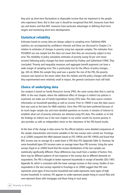they pick up short-term fluctuations in disposable income that are important to the people who experience them. But in that case it should be recognised that AHC measures have their ups and downs and that BHC measures have particular advantages in defining short-term targets and monitoring short-term developments.

## **Statistical reliability**

Estimates based on survey data are always subject to sampling error. Published HBAI statistics are accompanied by confidence intervals and these are discussed in Chapter 2 in relation to estimates of changes in poverty using two separate samples. The estimates from POLIMOD use one sample but this does not mean that they are necessarily subject to less error. The reliability of policy simulation estimates of poverty (using 50 per cent mean income) following policy changes has been examined by Pudney and Sutherland (1994). They concluded: 'Poverty and inequality measures and aggregate benefit payments can have a wide margin of sampling error. This is particularly true for the effects of policy changes…' (pp. 345–6). While the sample they used was a quarter the size of the FRS, the poverty measure was based on the mean rather than the median and the policy changes with which they experimented were relatively small in impact, the general conclusion must still hold.

## **Choice of underlying data**

Our analysis is based on Family Resources Survey (FRS), the same survey data that is used by HBAI. In the next chapter, where the additional effect of changes in indirect tax policies is examined, we make use of Family Expenditure Survey (FES) data. This data source contains information on household spending as well as income. Prior to 1994/5 it was this data source that was used as the basis for HBAI statistics. Since then FRS has been preferred because of its much larger sample size and more detailed questions on income. It remains of interest to establish what sort of poverty estimates are obtained using FES data. This enables us to link the findings on indirect tax in the next chapter to our earlier results for income poverty. It also provides us with an independent check on the robustness of the FRS-based results.

At the time of the change in data source for the official statistics some detailed comparisons of the sample characteristics and income variables in the two surveys were carried out. Frosztega et al. (2000) compared the HBAI datasets based on FES 1995/6 and FRS 1995/6 and found that BHC income was on average £6 a week lower in FRS than FES (Appendix Table 3). However, for some household types FES incomes were on average lower than FRS incomes. Using the same surveys Dayal et al. (2000) found that the income distributions of the two samples are statistically significantly different. These differences may result from a number of factors. First, there may be different patterns of non-response in the surveys due to different demands on respondents. The FRS is thought to better represent households in receipt of benefits (DSS 1997; Appendix 9), which is consistent with the lower average incomes in that survey. Studies of nonrespondents in the two surveys reported in Frosztega et al. (2000) suggest that FRS overrepresents some types of low-income household and under-represents some types of highincome household. In contrast, FES appears to under-represent people living in council flats and over-represent those with mortgages and those living in rural areas.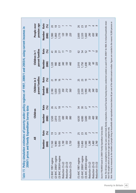|                                                                                                                                              | $\bar{a}$       |                | Children               |                          | parent families<br>Children in 2 |                 | parent families<br>Children in 1                                                                                               |                 |                 | pension age<br>People over |
|----------------------------------------------------------------------------------------------------------------------------------------------|-----------------|----------------|------------------------|--------------------------|----------------------------------|-----------------|--------------------------------------------------------------------------------------------------------------------------------|-----------------|-----------------|----------------------------|
|                                                                                                                                              | Number<br>(000) | Rate<br>$(\%)$ | <b>Number</b><br>(000) | Rate<br>(%)              | Number<br>(000)                  | Rate<br>(96)    | Number<br>(000)                                                                                                                | Rate<br>(%)     | Number<br>(000) | Rate<br>(%)                |
| (1) BHC 1997 regime                                                                                                                          | 11,160          | ഉ              | 3,500                  | 26                       | 2,180                            | $\overline{21}$ | 1,320                                                                                                                          | $\frac{4}{1}$   | 0861            | $\overline{C}$             |
| (2) BHC 2000/1 regime                                                                                                                        | 9,980           |                | 2,810                  | $\overline{21}$          | 1,830                            | $\frac{8}{1}$   | 980                                                                                                                            | 50              | 1,860           | $\frac{8}{1}$              |
| (3) BHC 2003/4 regime                                                                                                                        | 9,430           | $\frac{6}{5}$  | 2,510                  | $\frac{8}{1}$            | 1,620                            | $\frac{1}{2}$   | 890                                                                                                                            | 27              | 1,770           | $\overline{1}$             |
| Reduction (1)-(2)                                                                                                                            | 1,190           |                | 690                    | 5                        | 350                              | $\infty$        | 340                                                                                                                            | $\overline{11}$ | 120             |                            |
| Reduction (2)-(3)                                                                                                                            | 550             |                | 300                    | $\sim$                   | 210                              | $\sim$          | 100                                                                                                                            | 3               | 100             |                            |
| Reduction (1)-(3)                                                                                                                            | 1,730           |                | 990                    | $\overline{\phantom{0}}$ | 560                              | 5               | 440                                                                                                                            | 13              | 220             | $\sim$                     |
|                                                                                                                                              |                 |                |                        |                          |                                  |                 |                                                                                                                                |                 |                 |                            |
| (1) AHC 1997 regime                                                                                                                          | 14,680          | 25             | 4,630                  | 34                       | 2,620                            | 25              | 2,010                                                                                                                          | 62              | 2,600           | 26                         |
| (2) AHC 2000/1 regime                                                                                                                        | 13,400          | 23             | 4,080                  | $\overline{30}$          | 2,330                            | 23              | 1,750                                                                                                                          | 54              | 2,320           | 23                         |
| (3) AHC 2003/4 regime                                                                                                                        | 11,940          | $\approx$      | 3,680                  | 27                       | 1,990                            | Θ               | 1,690                                                                                                                          | 52              | 1,660           | $\frac{1}{2}$              |
| Reduction (1)-(2)                                                                                                                            | 1,280           |                | 550                    | 4                        | 290                              | $\sim$          | 260                                                                                                                            | $\infty$        | 290             | $\mathsf{c}$               |
| Reduction (2)-(3)                                                                                                                            | 1,460           |                | 400                    | $\sim$                   | 340                              | $\infty$        | 09                                                                                                                             | $\sim$          | 650             | 9                          |
| Reduction (1)-(3)                                                                                                                            | 2,740           |                | 940                    | $\overline{\phantom{0}}$ | 630                              | G               | 320                                                                                                                            | $\overline{0}$  | 940             | G                          |
| Source: POLIMOD based on 2000/1 Family Expenditure Survey data.                                                                              |                 |                |                        |                          |                                  |                 |                                                                                                                                |                 |                 |                            |
| Note: The GB data is reweighted to match the same control totals (family                                                                     |                 |                |                        |                          |                                  |                 | composition, Council Tax band, housing tenure, London/not London) as used in FRS 2000/1 for HBAI. N. Ireland households retain |                 |                 |                            |
| Note: Poverty is measured as the numbers of people living in households<br>their FES weights which are based on age and sex categories only. |                 |                |                        |                          |                                  |                 | with equivalised income below 60 per cent of the within-scenario median. Figures are rounded to the nearest 10,000 persons or  |                 |                 |                            |
|                                                                                                                                              |                 |                |                        |                          |                                  |                 |                                                                                                                                |                 |                 |                            |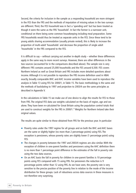Second, the criteria for inclusion in the sample as a responding household are more stringent in the FES than the FRS and the methods of imputation of missing values in the two surveys are different. Third, the FES household was in fact a 'spending unit' but has been treated as though it were the same as the FRS 'household'. In fact the former is a narrower unit, conditional on there being some common housekeeping including meal preparation. Some FRS households would thus be treated as separate units in the FES. Since these tend to be young adults sharing accommodation (usually private rented), this is likely to increase the proportion of multi-adult 'households' and decrease the proportion of single adult 'households' in the FRS compared to the FES.

It is difficult to say – without carrying out another in-depth study – whether these differences apply in the same way to more recent surveys. However, there are other differences in the two sources (accounted for in the comparisons described above). The sample size is very different: FRS contains around 25,000 households and the FES around 6,500. FES covers Northern Ireland as well as Great Britain and FRS includes more detailed questions about income. Although it is not possible to reproduce the FRS income definition used in HBAI exactly, broadly comparable BHC and AHC income variables have been used to reproduce the analysis in Table 13 using FES for 2000/1, in Table 15. The basic methodology is the same and the methods of backdating to 1997 and projection to 2003/4 use the same principles as described in Appendix V.

In the calculations in Table 15 we make use of one device to align the results for FES to those from FRS. The original FES data use weights calculated on the basis of region, age and sex alone. They have been re-calculated for Great Britain using the population control totals that are used to construct weights for the FRS in 2000/1.14 Weights for Northern Ireland take their original values.

The results are quite similar to those obtained from FRS for the previous year. In particular:

- Poverty rates under the 1997 regime for all groups and on both the BHC and AHC bases are the same or slightly higher (no more than 2 percentage points) using FES. The exception is pensioners, whose poverty rates are slightly lower (1 percentage point) using FES.
- The changes in poverty between the 1997 and 2003/4 regimes are also similar. With the exception of children in one-parent families and pensioners using the AHC definition there is no more than 1 percentage point difference in the estimates of the fall in poverty rate using the two data sources.
- On an AHC basis the fall in poverty for children in one-parent families is 10 percentage points using FES compared with 15 using FRS. For pensioners the reduction is 9 percentage points rather than 12 using FRS. As we have seen, the poverty rate is very sensitive to the precise position of the poverty line in relation to the mode of the income distribution for these groups. Lack of robustness across data sources in these measures is not therefore very surprising.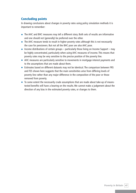## **Concluding points**

In drawing conclusions about changes in poverty rates using policy simulation methods it is important to remember:

- The AHC and BHC measures may tell a different story. Both sets of results are informative and one should not (generally) be preferred over the other.
- The AHC measure tends to result in higher poverty rates although this is not necessarily the case for pensioners. But not all the BHC poor are also AHC poor.
- Income distributions of certain groups particularly those living on Income Support may be highly concentrated, particularly when using AHC measures of income. This means that poverty rates may be very sensitive to the precise position of the poverty line.
- AHC measures are particularly sensitive to movements in mortgage interest payments and to the assumptions that are made about them.
- Estimates based on different datasets may not be identical. The comparison between FRS and FES shown here suggests that the main sensitivities arise from differing levels of poverty line rather than any major difference in the composition of the poor or those removed from poverty.
- To some extent the necessarily crude assumptions that are made about take-up of meanstested benefits will have a bearing on the results. We cannot make a judgement about the direction of any bias in the estimated poverty rates, or changes to them.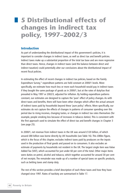## **5 Distributional effects of changes in indirect tax policy, 1997–2002/3**

## **Introduction**

As part of understanding the distributional impact of this government's policies, it is important to consider changes in indirect taxes, as well as direct tax and benefit policies. Indirect taxes make up a substantial proportion of the total tax base and are more regressive than direct taxes. Hence, changes in indirect taxes (and the balance between direct and indirect taxation) could potentially alter our conclusions about the distributional impact of recent fiscal policies.

In estimating the effect of recent changes in indirect tax policies, based on the Family Expenditure Survey,<sup>15</sup> expenditure patterns are held constant at 2000/1 levels. More specifically, we estimate how much less or more each household would pay in indirect taxes if they bought the same package of goods as in 2000/1, but at the rates of duty/tax that prevailed in May 1997 or 2002/3, adjusted for inflation. By holding expenditure patterns constant, our estimates are designed to capture the 'pure' effect of policy changes. As with direct taxes and benefits, there will have been other changes which affect the actual amount of indirect taxes paid by households beyond these 'pure policy' effects. More specifically, our estimates do not capture the effects of changes in patterns of consumer spending over this period due to rising incomes, changing tastes, or changes in indirect tax rates themselves (for example, people smoking less because of increases in tobacco duties). This is consistent with the first approach used to simulate the effect of direct tax and benefit changes in Chapter 3 (see page 25).

In 2000/1, net revenue from indirect taxes in the UK was around £120 billion, of which around £80 billion was borne directly by UK households (see Table 16). This £80bn figure, which is the focus of this chapter, excludes indirect taxes paid by producers on the inputs used in the production of final goods and passed on to consumers. It also excludes an estimate of payments by households not resident in the UK. The largest single item was Value Added Tax (VAT), which accounted for just under 60 per cent of the total. Other major items were duties on petrol, alcohol and tobacco, which together accounted for around 30 per cent of net receipts. The remainder was made up of a number of special taxes on specific products, such as betting taxes and stamp duty.

The rest of this section provides a brief description of each these taxes and how they have changed since 1997. Rates of tax/duty are summarised in Table 17.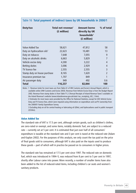| <b>Duty/tax</b>                       | Total net revenue <sup>1</sup><br>(f million) | <b>Amount borne</b><br>directly by UK<br>households <sup>2</sup><br>(f million) | % of total     |
|---------------------------------------|-----------------------------------------------|---------------------------------------------------------------------------------|----------------|
| Value Added Tax                       | 58,621                                        | 47,812                                                                          | 58             |
| Duty on hydrocarbon oils <sup>3</sup> | 22,623                                        | 10,481                                                                          | 13             |
| Duty on tobacco                       | 7,648                                         | 7,055                                                                           | 9              |
| Duty on alcoholic drinks              | 6,663                                         | 5,829                                                                           | $\overline{7}$ |
| Vehicle excise duty                   | 4,300                                         | 3,222                                                                           | 4              |
| <b>Betting duties</b>                 | 3,006                                         | 2,929                                                                           | 4              |
| TV licence fee                        | 2,555                                         | 2,555                                                                           | 3              |
| Stamp duty on house purchase          | 8,165                                         | 1,620                                                                           | $\overline{2}$ |
| Insurance premium tax                 | 1,707                                         | 849                                                                             |                |
| Air passenger duty                    | 949                                           | 492                                                                             | 0.6            |
| Total                                 | 116,237                                       | 82,844                                                                          | 100            |

### Table 16 **Total payment of indirect taxes by UK households in 2000/1**

*Notes* : 1 Revenue totals for most taxes are from Table A1 of HM Customs and Excise's Annual Report, which is available online (HM Customs and Excise 2003). Revenue from Vehicle Excise Duty is from the Budget Report 2002. Revenue from stamp duties is from Table T1.2 ('Annual Receipts of Inland Revenue Taxes') available on the Inland Revenue's website (www.inlandrevenue.gov.uk/stats/ tax\_receipts/g\_t02\_1.htm).

2 Estimates for most taxes were provided by the Office for National Statistics, except for VAT, Vehicle Excise Duty and TV licence fees, which were imputed using information on expenditure and car/TV ownership from the 2000/01 Family Expenditure Survey.

3 Excluding duty on oil for central heating or lubricating oil (£8m), and hydrocarbons used in public transport (£534m).

#### *Value Added Tax*

The standard rate of VAT is 17.5 per cent, although certain goods, such as children's clothes, are zero-rated or exempt, and some items, notably domestic fuel, are subject to a reduced rate – currently set at 5 per cent. It is estimated that just over half of all consumers' expenditure is taxable at the standard rate and 3 per cent is taxed at the reduced rate (Adam and Kaplan 2002). For the purposes of this analysis, we only count the tax paid on the price of final goods sold to consumers, although VAT is also paid on the inputs used to produce these goods – part of which will in practice be passed on to consumers in higher prices.

The standard rate has remained at 17.5 per cent since 1997. The reduced rate on domestic fuel, which was introduced in 1994–5, was reduced from 8 per cent to 5 per cent in 1997, shortly after Labour came into power. More recently, a number of smaller items have also been added to the list of reduced-rated items, including children's car seats and women's sanitary products.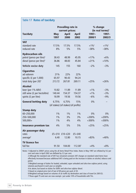#### Table 17 **Rates of tax/duty**

|                                       |                    | <b>Prevailing rate in</b><br>current prices: |                      | % change<br>(in real terms) <sup>1</sup> |                     |  |  |
|---------------------------------------|--------------------|----------------------------------------------|----------------------|------------------------------------------|---------------------|--|--|
| Tax/duty                              | <b>May</b><br>1997 | <b>April</b><br>2000                         | <b>April</b><br>2002 | $1997 -$<br>2000/1                       | $1997 -$<br>2002/3  |  |  |
| <b>VAT</b>                            |                    |                                              |                      |                                          |                     |  |  |
| standard rate                         | 17.5%              | 17.5%                                        | 17.5%                | $+1\%$ <sup>2</sup>                      | $+1\%$ <sup>2</sup> |  |  |
| reduced rate                          | 8%                 | 5%                                           | 5%                   | $-38%$                                   | $-38%$              |  |  |
| <b>Hydrocarbon oils</b>               |                    |                                              |                      |                                          |                     |  |  |
| petrol (pence per litre) <sup>3</sup> | 38.43              | 48.99                                        | 45.95                | $+17%$                                   | $+6%$               |  |  |
| diesel (pence per litre) <sup>4</sup> | 36.86              | 48.83                                        | 45.84                | $+21%$                                   | $+10%$              |  |  |
| Vehicle excise duty                   | 145                | 155                                          | 160                  | $-2%$                                    | $-3%$               |  |  |
| <b>Cigarettes</b>                     |                    |                                              |                      |                                          |                     |  |  |
| ad valorem                            | 21%                | 22%                                          | 22%                  |                                          |                     |  |  |
| specific (£ per 1,000)                | 65.97              | 90.43                                        | 94.24                |                                          |                     |  |  |
| total duty (per 20) <sup>5</sup>      | 213.72             | 267.81                                       | 269.11               | $+25%$                                   | $+26%$              |  |  |
| <b>Alcohol</b>                        |                    |                                              |                      |                                          |                     |  |  |
| beer (per 1% ABV)                     | 10.82              | 11.89                                        | 11.89                | $+1%$                                    | $-3%$               |  |  |
| still wine (£ per hectolitre)         | 140.44             | 154.37                                       | 154.37               | $+1%$                                    | $-3%$               |  |  |
| spirits (£ per litre)                 | 18.99              | 19.56                                        | 19.56                | $-6%$                                    | $-9%$               |  |  |
| <b>General betting duty</b>           | 6.75%              | 6.75%                                        | 15%                  | 0%                                       |                     |  |  |
|                                       |                    | (of stakes) (of stakes) (of profits)         |                      |                                          |                     |  |  |
| <b>Stamp duty</b>                     |                    |                                              |                      |                                          |                     |  |  |
| 60-250,000                            | $1\%$              | $1\%$                                        | $1\%$                | $0\%$                                    | 0%                  |  |  |
| 250-500,000                           | $1\%$              | 3%                                           | 3%                   | $+200%$                                  | $+200%$             |  |  |
| $500,000+$                            | $1\%$              | 4%                                           | 4%                   | $+300%$                                  | $+300%$             |  |  |
| <b>Insurance premium tax</b>          | 4%                 | 5%                                           | 5%                   | $+25%$                                   | $+25%$              |  |  |
| Air passenger duty                    |                    |                                              |                      |                                          |                     |  |  |
| rates                                 |                    | £5-£10 £10-£20                               | $E5 - E40$           |                                          |                     |  |  |
| average <sup>6</sup>                  | 6.40               | 12.80                                        | 10.15                | $+83%$                                   | $+40%$              |  |  |
| <b>TV licence fee</b>                 |                    |                                              |                      |                                          |                     |  |  |
| full fee                              | 91.50              | 104.00                                       | 112.007              | $+4%$                                    | $+8%$               |  |  |

Notes: 1 Adjusted to 2000/1 prices using the all items Retail Price Index. Rates in May 1997 are inflated by 9.2 per cent and rates in April 2002 are deflated by 3.5 per cent.

2 Although the standard rate of VAT has remained constant, VAT charges on standard rated items have effectively increased because additional VAT is being paid on the increase in duties on alcohol, tobacco and petrol.

3 Weighted average of duties for leaded, unleaded, super unleaded and ultra-low sulphur petrol, using volumes purchased in each year as weights.

4 As above, but based on duties for DERV and ultra-low sulphur diesel.

5 Based on original price (net of tax) of 69 pence per pack of 20.

6 Weighted average based on volumes of air traffic by destination and class of travel (in 2001/2).

7 Those aged 75 and over are now exempt– just under 10% of households with TVs.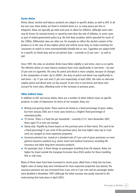#### *Excise duties*

Petrol, diesel, alcohol and tobacco products are subject to specific duties, as well as VAT. In all but one case, these duties are fixed in nominal terms (i.e. so many pence per litre or kilogram). Rates are typically up-rated each year to allow for inflation, although some rates may be frozen (in nominal terms) or raised by more than the rate of inflation, in some cases as part of stated government policy (e.g. the fuel duty escalator, which operated for much of the 1990s). Differential rates are often set, for example to reflect the alcohol content of the product or, in the case of low-sulphur petrol and vehicle excise duty, to create incentives for consumers to switch to more environmentally friendly fuel or cars. Cigarettes are subject both to a specific (or fixed) duty and an *ad valorem* duty – currently at 22 per cent – as well as VAT.

Since 1997, the rates on alcoholic drinks have fallen slightly in real terms, more so on spirits. The effective duties on most tobacco products have risen significantly in real terms – by over 25 per cent on cigarettes. The story for petrol and diesel is more complex, because of changes in the composition of sales. Up to 2000/1, the duty on petrol and diesel rose significantly in real terms – by 17 per cent and 21 per cent respectively. In April 2002, the rates on ultra-low sulphur petrol and diesel were cut (by around 10 per cent in real terms) and these now account for most sales, offsetting some of the increases in previous years.

#### *Other indirect taxes*

In addition to VAT and excise duties, there are a number of other indirect taxes on specific products. In order of importance (in terms of net receipts), these are:

- *Betting and gaming duties* These used to be levied as a fixed percentage of gross stakes, but from January 2002 are in most cases levied as a (higher) fixed percentage of estimated profits.
- *TV licence* There is a fixed fee per household currently £112. Since November 2001, those aged 75 or over are exempt.
- *Stamp duty* Payable by house buyers on the purchase price of their home. This used to be a fixed percentage (1 per cent) of the purchase price, but now higher rates (up to 4 per cent) are charged on more expensive properties.
- *Insurance premium tax* Levied at a standard rate of 5 per cent of gross premiums on most general insurance products (e.g. motor, travel and medical insurance), excluding life insurance and other long-term insurance products.
- *Air passenger duty* A fixed charge on passengers travelling from UK airports. Rates are higher for travel outside the European Economic Area (EEA) and/or for those travelling first or club class.

Many of these taxes have been increased in recent years, albeit from a fairly low tax base. Higher rates of stamp duty were introduced for more expensive properties (see above), the insurance premium tax was increased from 4 per cent to 5 per cent and air passenger duties were doubled in November 1997 (although the latter increase was partly reversed in the restructuring that took place in April 2001).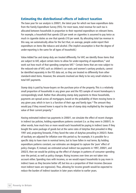## **Estimating the distributional effects of indirect taxation**

The base year for our analysis is 2000/1, the latest year for which we have expenditure data from the Family Expenditure Survey (FES). For most taxes, total revenue for each tax is allocated between households in proportion to their reported expenditure on relevant items. For example, a household that spends £20 per week on cigarettes is assumed to pay twice as much in cigarette duties as one that spends £10 per week. By allocating total tax revenue in this way, we automatically allow for the fact that, on average, people under-report their expenditure on items like tobacco and alcohol. (The implicit assumption is that the degree of under-reporting is the same for all types of household.)

Value Added Tax and stamp duty are treated differently. For VAT, we identify those items that are subject to VAT, adjust certain items to allow for under-reporting of expenditure,<sup>16</sup> and work out how much of that spending comprises VAT.<sup>17</sup> Certain items that are now subject to the reduced-rate of VAT, such as children's car seats and women's sanitary products, cannot be identified separately in the FES data set, so they are treated no differently from other standard-rated items. However, the amounts involved are likely to be very small relative to total VAT payments.

Stamp duty is paid by house-buyers on the purchase price of the property. This is a relatively small proportion of households in any given year and the FES sample of recent homebuyers is correspondingly small. Rather than allocating stamp duty payments to these households, payments are spread across all mortgagors, based on the probability of them moving home in any given year, which in turn is a function of their age and family type.<sup>18</sup> The amount they would pay if they moved home is equal to the rate of stamp duty multiplied by the imputed value of their current property.<sup>19</sup>

Having estimated indirect tax payments in 2000/1, we simulate the effect of recent changes in indirect tax policies, holding expenditure patterns constant (i.e. as they were in 2000/1). In other words, how much less or more would each household be paying in indirect taxes if they bought the same package of goods but at the same rates of duty/tax that prevailed in May 1997 and, projecting forwards, if they faced the rates of duty/tax prevailing in 2002/3. Rates of tax/duty are adjusted for inflation over this period so, for example, it is possible for a specific duty to have risen in nominal terms, but to have fallen in real terms. By holding expenditure patterns constant, our estimates are designed to capture the 'pure' effect of policy changes. If, instead, we estimated actual indirect tax payments in 1997, 2000/1, and 2002/3, then we would be picking up the effect of changes in patterns of consumer spending over the period, as well as policy changes. Rising incomes over time are not taken into account either. Spending rises with incomes, so we would expect households to pay more in indirect taxes as they become better off, but less as a proportion of their incomes (because most indirect taxes are regressive). Thus, allowing for income growth would be expected to reduce the burden of indirect taxation in later years relative to earlier years.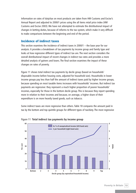Information on rates of duty/tax on most products are taken from HM Customs and Excise's Annual Report and adjusted to 2000/1 prices using the all items retail price index (HM Customs and Excise 2003). We have not attempted to estimate the distributional impact of changes in betting duties, because of reforms to the tax system, which make it very difficult to make comparisons between the beginning and end of the period.

### **Incidence of indirect taxes**

This section examines the incidence of indirect taxes in 2000/1 – the base year for our analysis. It provides a breakdown of tax payments by income group and family type and looks at how regressive different types of indirect tax are. The next section considers the overall distributional impact of recent changes in indirect tax rates and provides a more detailed analysis of gainers and losers. The final section examines the impact of these changes on rates of poverty.

Figure 11 shows total indirect tax payments by decile group (based on households' disposable income before housing costs, adjusted for household size). Households in lower income groups pay less than half the amount of indirect taxes paid by higher income groups, because spending on most taxable items increases with households' incomes. But indirect tax payments are regressive: they represent a much higher proportion of poorer households' incomes, especially for those in the bottom decile group. This is because they report spending more in relation to their incomes and because, on average, a higher share of their expenditure is on more heavily taxed goods, such as tobacco.

Some indirect taxes are more regressive than others. Table 18 compares the amount paid in tax by the bottom and top quintile groups for different types of tax/duty. The most regressive



Figure 11 **Total indirect tax payments by income group**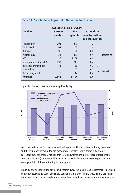### Table 18 **Distributional impact of different indirect taxes**

|                           | Average tax paid (£/year) |            |                                     |
|---------------------------|---------------------------|------------|-------------------------------------|
| Tax/duty                  | <b>Bottom</b>             | <b>Top</b> | <b>Ratio of tax</b>                 |
|                           | quintile                  | quintile   | paid by bottom<br>and top quintiles |
| Tobacco duty              | 298                       | 243        | 1.2                                 |
| TV licence fee            | 104                       | 105        | 1.0                                 |
| Betting tax               | 91                        | 120        | 0.8                                 |
| Alcohol duty              | 138                       | 363        | 0.4<br>Regressive                   |
| <b>VAT</b>                | 1,136                     | 3,158      | 0.4                                 |
| Motoring taxes (inc. VED) | 298                       | 847        | 0.4                                 |
| Insurance premium tax     | 18                        | 60         | 0.3                                 |
| Stamp duty                | 30                        | 167        | 0.2<br><b>Neutral</b>               |
| Air passenger duty        | 8                         | 44         | 0.2                                 |
| <b>Average</b>            | 2,119                     | 5,104      | 0.4                                 |

#### Figure 12 **Indirect tax payments by family type**



are tobacco duty, the TV licence fee and betting taxes. Alcohol duties, motoring taxes, VAT and the insurance premium tax are moderately regressive, while stamp duty and air passenger duty are broadly neutral, that is, tax payments are more or less proportional to household income (net household incomes for those in the bottom income group are, on average, a fifth of those in the top income group).

Figure 12 shows indirect tax payments by family type. The most notable difference is between pensioner households, especially single pensioners, and other family types. Single pensioners spend less of their income and more of what they spend is on tax-exempt items, so they pay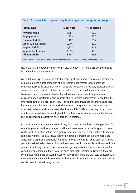| <b>Family type</b>      | £ per year | % of income |
|-------------------------|------------|-------------|
| Pensioner couple        | 1,681      | 20.2        |
| Single pensioner        | 839        | 17.0        |
| Couple with children    | 3,187      | 30.2        |
| Couple without children | 3,746      | 50.7        |
| Single with children    | 1,825      | 21.9        |
| Single without children | 1,855      | 40.5        |
| <b>All households</b>   | 2,118      | 29.7        |

## Table 19 **Indirect tax payments by family type, bottom quintile group1**

*Note*: 1 Poorest fifth of all households, based on net equivalised household incomes before housing costs.

less in VAT as a proportion of their income; they also travel less, drink less and move home less often than other households.

We might have expected lone parents, the majority of whom have relatively low incomes, to be paying a much higher proportion of their income in indirect taxes than other nonpensioner households, given that indirect taxes are regressive. On average, however, they pay around the same proportion of their income in indirect taxes as other non-pensioner households. And, compared with other households on low incomes, lone parents and pensioners pay a substantially smaller share of their incomes in indirect taxes (see Table 19). One reason is that, like pensioners, they tend to drink less, travel less and move house less frequently than other households on similar incomes. Lone parents and pensioners are also more likely to be in persistent poverty (Gardiner and Hills 1999), so they may be less able to maintain spending levels that are high relative to their incomes (unlike households that may only be experiencing a relatively short spell of low income).

As already noted, the amount households pay in tax depends on their spending patterns. The amounts given above show averages for different income groups or family types, but there will be a lot of variation within these groups, for example between households with smokers and those without. Table 20 shows that the proportion of income spent on indirect taxes varies hugely depending on people's drinking, smoking and driving habits, especially among poorer households – by a factor of up to three among low income single pensioners and lone parents. So, although indirect taxes are, on average, regressive (i.e. low income households pay a higher proportion of their income in taxes than higher income households), there are even greater differences between households who smoke, drink and own cars compared with those who do not. The third column shows the impact of changes in indirect tax rates, which are discussed in the following section.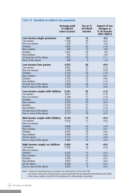| <u>idule zu variation in inunect tax payments</u>               |                                                               |                                   |                                                                   |  |  |  |  |
|-----------------------------------------------------------------|---------------------------------------------------------------|-----------------------------------|-------------------------------------------------------------------|--|--|--|--|
|                                                                 | <b>Average paid</b><br>in indirect<br>taxes ( <i>f/year</i> ) | Tax as $%$<br>of h/hold<br>income | <b>Impact of tax</b><br>changes as<br>% of income:<br>1997-2002/3 |  |  |  |  |
| Low income single pensioner                                     | 867                                                           | 15                                | $-0.3$                                                            |  |  |  |  |
| Car-owners                                                      | 1,518                                                         | 26                                | $+0.2$                                                            |  |  |  |  |
| Non-car-owners                                                  | 679                                                           | 11                                | $-0.4$                                                            |  |  |  |  |
| <b>Smokers</b>                                                  | 1,830                                                         | 26                                | $+1.8$                                                            |  |  |  |  |
| Non-smokers                                                     | 669                                                           | 12                                | $-0.8$                                                            |  |  |  |  |
| <b>Drinkers</b>                                                 | 1,241                                                         | 20                                | 0.0                                                               |  |  |  |  |
| Non-drinkers                                                    | 702                                                           | 12                                | $-0.4$                                                            |  |  |  |  |
| At least two of the above                                       | 1,952                                                         | 29                                | $+1.1$                                                            |  |  |  |  |
| None of the above                                               | 436                                                           | 8                                 | $-1.0$                                                            |  |  |  |  |
|                                                                 |                                                               |                                   |                                                                   |  |  |  |  |
| Low income lone parent                                          | 1,872                                                         | 20                                | $+0.9$                                                            |  |  |  |  |
| Car-owners                                                      | 2,691                                                         | 27                                | $+1.0$                                                            |  |  |  |  |
| Non-car-owners                                                  | 1,349                                                         | 15                                | $+0.9$                                                            |  |  |  |  |
| <b>Smokers</b>                                                  | 2,316                                                         | 24                                | $+1.8$                                                            |  |  |  |  |
| Non-smokers                                                     | 1,502                                                         | 16                                | $+0.1$                                                            |  |  |  |  |
| <b>Drinkers</b>                                                 | 2,143                                                         | 22                                | $+0.9$                                                            |  |  |  |  |
| Non-drinkers                                                    | 1,619                                                         | 17                                | $+1.0$                                                            |  |  |  |  |
| At least two of the above                                       | 2,640                                                         | 26                                | $+1.3$                                                            |  |  |  |  |
| One or none of the above                                        | 1,229                                                         | 13                                | $+0.6$                                                            |  |  |  |  |
|                                                                 |                                                               |                                   |                                                                   |  |  |  |  |
| Low income couple with children                                 | 3,321                                                         | 25                                | $+1.0$                                                            |  |  |  |  |
| Car-owners                                                      | 3,657                                                         | 27                                | $+1.0$                                                            |  |  |  |  |
| Non-car-owners                                                  | 2,146                                                         | 17                                | $+1.0$                                                            |  |  |  |  |
| <b>Smokers</b>                                                  | 3,614                                                         | 26                                | $+1.5$                                                            |  |  |  |  |
| Non-smokers                                                     | 2,978                                                         | 23                                | $+0.4$                                                            |  |  |  |  |
| <b>Drinkers</b>                                                 | 3,742                                                         | 27                                | $+1.0$                                                            |  |  |  |  |
| Non-drinkers                                                    | 2,559                                                         | 21                                | $+1.0$                                                            |  |  |  |  |
| At least two of the above                                       | 3,772                                                         | 27                                | $+1.2$                                                            |  |  |  |  |
| One or none of the above                                        | 2,117                                                         | 18                                | $+0.5$                                                            |  |  |  |  |
|                                                                 |                                                               |                                   |                                                                   |  |  |  |  |
| <b>Mid income couple with children</b>                          | 4,174                                                         | 17                                | $+0.4$                                                            |  |  |  |  |
| Car-owners                                                      | 4,223                                                         | 17                                | $+0.4$                                                            |  |  |  |  |
| Non-car-owners                                                  | $\ast$                                                        | $\ast$                            | $\ast$                                                            |  |  |  |  |
| <b>Smokers</b>                                                  | 4,866                                                         | 20                                | $+0.9$                                                            |  |  |  |  |
| Non-smokers                                                     | 3,772                                                         | 15                                | $+0.1$                                                            |  |  |  |  |
| <b>Drinkers</b>                                                 | 4,297                                                         | 18                                | $+0.4$                                                            |  |  |  |  |
| Non-drinkers                                                    | 3,669                                                         | 15                                | $+0.6$                                                            |  |  |  |  |
| All the above                                                   | 5,117                                                         | 21                                | $+0.9$                                                            |  |  |  |  |
| One or none of the above                                        | 3,405                                                         | 14                                | $+0.3$                                                            |  |  |  |  |
| High income couple, no children<br>Car-owners<br>Non-car-owners | 5,464<br>5,529                                                | 14<br>14<br>$\ast$                | $+0.4$<br>$+0.4$<br>$\ast$                                        |  |  |  |  |
| <b>Smokers</b>                                                  | 6,325                                                         | 17                                | $+0.7$                                                            |  |  |  |  |
| Non-smokers                                                     | 5,052                                                         | 13                                | $+0.2$                                                            |  |  |  |  |
| <b>Drinkers</b>                                                 | 5,706                                                         | 15                                | $+0.3$                                                            |  |  |  |  |
| Non-drinkers                                                    | 3,810                                                         | 11                                | $+0.4$                                                            |  |  |  |  |
| All the above                                                   | 6,590                                                         | 17                                | $+0.7$                                                            |  |  |  |  |
| One or none of the above                                        | 3,654                                                         | 9                                 | $+0.2$                                                            |  |  |  |  |
|                                                                 |                                                               |                                   |                                                                   |  |  |  |  |

## Table 20 **Variation in indirect tax payments**

*Notes*: \* Results not reported because of sample is too small (cell size of less than 100).

Low income, mid income and high income means households with net equivalised household incomes (BHC) in the bottom, middle or top third of the distribution for all households, respectively.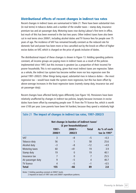## **Distributional effects of recent changes in indirect tax rates**

Recent changes in indirect taxes are summarised in Table 21. There have been substantial rises (in real terms) in tobacco duties and a number of the smaller taxes – stamp duty, insurance premium tax and air passenger duty. Motoring taxes rose during Labour's first term in office, but much of this has been reversed in the last two years. Other indirect taxes have also been cut in real terms since 2000/1, including alcohol duties and TV licence fees for people over 75 years of age. The incidence of VAT has remained broadly constant as the reduced rate for domestic fuel and power has been more or less cancelled out by the knock-on effect of higher excise duties on VAT, which is charged on the price of goods inclusive of duties.

The distributional impact of these changes is shown in Figure 13. Holding spending patterns constant, all income groups are paying more in indirect taxes as a result of the policies implemented since 1997, but this increase is greatest (as a proportion of their income) for poorer households. This is not surprising, given that most indirect taxes are regressive. Taken as a whole, the indirect tax system has become neither more nor less regressive over the period 1997–2002/3. Other things being equal, substantial rises in tobacco duties – the most regressive tax – would have made the system more regressive, but this has been offset by above-average increases in the least regressive taxes (namely stamp duty, insurance tax and air passenger duty).

Recent changes have affected family types differently (see Figure 14). Pensioners have been relatively unaffected by changes in indirect tax policies, largely because increases in excise duties have been offset by exempting people over 75 from the TV licence fee, which is worth over £100 per year. Lone parents have been hit hardest, because they spend a relatively high

| Net change in burden of indirect taxes <sup>1</sup><br>(£ per household/year) |                    |                      |              |                                          |  |
|-------------------------------------------------------------------------------|--------------------|----------------------|--------------|------------------------------------------|--|
|                                                                               | $1997 -$<br>2000/1 | $2000/1 -$<br>2002/3 | <b>Total</b> | As % of each<br>tax in 1997 <sup>2</sup> |  |
| <b>VAT</b>                                                                    | 3                  | $-8$                 | $-5$         | $-0.3$                                   |  |
| Tobacco duty                                                                  | 56                 |                      | 58           | 25.6                                     |  |
| Alcohol duty                                                                  | $-3$               | -8                   | $-12$        | $-4.9$                                   |  |
| Motoring taxes                                                                | 60                 | $-41$                | 19           | 3.9                                      |  |
| Stamp duty                                                                    | 19                 | $\Omega$             | 19           | 40.1                                     |  |
| Insurance tax                                                                 | 7                  | $\Omega$             | 7            | 25.5                                     |  |
| Air passenger duty                                                            | 9                  | $-5$                 | 4            | 40.7                                     |  |
| <b>TV</b> licence                                                             | 4                  | $-5$                 | $-1$         | $-0.5$                                   |  |
| Total                                                                         | 155                | -66                  | 89           | 2.8                                      |  |

#### Table 21 **The impact of changes in indirect tax rates, 1997–2002/3**

*Notes*: 1 Holding spending constant at 2000/1 levels.

2 Imputed on basis of 1997 rates and 2000/1 expenditure patterns.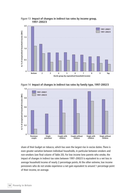

Figure 13 **Impact of changes in indirect tax rates by income group, 1997–2002/3**



Figure 14 **Impact of changes in indirect tax rates by family type, 1997-2002/3**

share of their budget on tobacco, which has seen the largest rise in excise duties. There is even greater variation between individual households, in particular between smokers and non-smokers (see final column of Table 20). For low income lone parents who smoke, the impact of changes in indirect tax rates between 1997–2002/3 is equivalent to a net loss in average household income of nearly 2 percentage points. At the other extreme, low income pensioners who do not smoke experience a net gain equivalent to around 1 percentage point of their income, on average.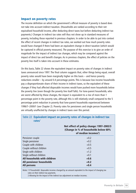### **Impact on poverty rates**

The income definition on which the government's official measure of poverty is based does not take into account indirect taxation. (Households are ranked according to their net equivalised household income, after deducting direct taxes but before deducting indirect tax payments.) Changes in indirect tax rates will thus not show up in standard measures of poverty, including those reported in previous chapters. In order to be able to put into context the effect of recent changes in indirect tax rates, we worked out how much poverty rates would have changed if there had been an equivalent change in direct taxation (which would be captured in official poverty measures). The purpose of this exercise is to give an order of magnitude for the impact of indirect tax changes, which may be compared against the impact of direct tax and benefit changes. As in previous chapters, the effect of policies on the poverty line itself is taken into account in these estimates.

On this basis, Table 22 shows the equivalent impact on poverty rates of changes in indirect taxes announced since 1997. The final column suggests that, other things being equal, overall poverty rates would have been marginally higher on this basis – and hence poverty reductions smaller – by around 0.4 percentage points. This is because low income households pay a disproportionate share of their income in indirect taxes, so the equivalent of these changes if they had affected disposable incomes would have pushed more households below the poverty line (even though the poverty line itself falls). For lone-parent households, who are worst affected by these changes, the impact is equivalent to a rise of more than 1 percentage point in the poverty rate, although this is still relatively small compared to the 5 percentage point reduction in poverty that lone-parent households experienced between 1996/7–2000/1 (see Chapter 2). Poverty rates for pensioners and single person households are virtually unaffected by changes in indirect taxes over this period.

|                                 | Net effect of policy change: 1997-2002/3<br>(Change in % of households below 60%<br>of median incomes <sup>2</sup> ) |
|---------------------------------|----------------------------------------------------------------------------------------------------------------------|
| Pensioner couple                | $+0.2$                                                                                                               |
| Single pensioner                | $+0.2$                                                                                                               |
| Couple with children            | $+0.5$                                                                                                               |
| Couple without children         | $+0.5$                                                                                                               |
| Single with children            | $+1.2$                                                                                                               |
| Single without children         | $+0.1$                                                                                                               |
| All households with children    | $+0.6$                                                                                                               |
| <b>All pensioner households</b> | $+0.2$                                                                                                               |
| <b>All persons</b>              | $+0.4$                                                                                                               |

#### Table 22 **Equivalent impact on poverty rates of changes in indirect tax rates1**

*Notes*: 1 If households' disposable incomes changed by an amount equivalent to the impact of changing tax rates on their indirect tax payments.

2 Allowing for the impact of the indirect tax adjustment on median incomes.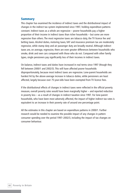#### **Summary**

This chapter has examined the incidence of indirect taxes and the distributional impact of changes in the indirect tax system implemented since 1997, holding expenditure patterns constant. Indirect taxes as a whole are regressive – poorer households pay a higher proportion of their income in indirect taxes than richer households – but some are more regressive than others. The most regressive taxes are tobacco duty, the TV licence fee and betting taxes. Alcohol duties, motoring taxes, VAT and insurance premium tax are moderately regressive, while stamp duty and air passenger duty are broadly neutral. Although indirect taxes are, on average, regressive, there are even greater differences between households who smoke, drink and own cars compared with those who do not. Compared with other family types, single pensioners pay significantly less of their incomes in indirect taxes.

On balance, indirect taxes and duties have increased in real terms since 1997 (though they fell between 2000/1 and 2002/3). This will have affected poorer households disproportionately, because most indirect taxes are regressive. Lone-parent households are hardest hit by the above-average increase in tobacco duties, while pensioners are least affected, largely because over 75-year-olds have been exempted from TV licence fees.

If the distributional effects of changes in indirect taxes were reflected in the official poverty measure, overall poverty rates would have been marginally higher – and reported reduction in poverty less – as a result of changes in indirect taxation since 1997. For lone-parent households, who have been most adversely affected, the impact of higher indirect tax rates is equivalent to an increase in their poverty rate of around one percentage point.

All the estimates in this chapter are based on expenditure patterns in 2000/1. Further research would be needed to examine the possible impact of any changes in pattern consumer spending over the period 1997–2002/3, including the impact of tax changes on consumer behaviour.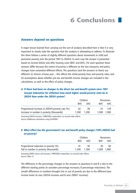# **6 Conclusions**

### **Answers depend on questions**

A major lesson learned from carrying out the sort of analysis described here is that it is very important to clearly state the question that the analysis is attempting to address. To illustrate this there follows a series of slightly different questions about movements in child and pensioner poverty over the period 1997 to 2003/4. In each case the answer is presented based on income before and after housing costs (BHC and AHC). For each question these answers differ because the extent of poverty is different on the two measures and policy changes have somewhat different effects. The questions (and the answers to them) use different: (i) choices of base year – this affects the initial poverty lines and poverty rates; and (ii) assumptions about whether pre-tax and benefit income changes are included in the calculations, as well as the effect of policy changes.

#### *A If there had been no changes to the direct tax and benefit system since 1997 (except indexation for inflation) how much higher would poverty rates be in 2003/4 than under the 2003/4 system?*

|                                                  |             | Children | Pensioners  |
|--------------------------------------------------|-------------|----------|-------------|
|                                                  | <b>BHC</b>  | AHC      | AHC<br>BHC  |
| Proportional increase in 2003/4 poverty rate (%) | 62          | 38       | 129<br>53.  |
| Increase in number in poverty (thousands)        | 1,300 1,200 |          | 1,000 1,900 |

Assuming 2003/4 incomes; 1999/2000 composition; no second order effects *Source*: Additional calculations using POLIMOD

#### *B What effect has the government's tax and benefit policy changes (1997–2003/4) had on poverty?*

|                                       |             | Children |             | Pensioners |  |
|---------------------------------------|-------------|----------|-------------|------------|--|
|                                       |             | BHC AHC  |             | BHC AHC    |  |
| Proportional reduction in poverty (%) | 41          | 30       | 39          | 60         |  |
| Fall in number in poverty (thousands) | 1,300 1,300 |          | 1,000 1,800 |            |  |

Assuming 2000/1 prices and incomes; 1999/2000 composition; no second order effects *Source*: Table 12

The difference in the percentage changes in the answers to questions A and B is due to the different starting points (A considers percentage increases; B percentage reductions). The (small) differences in numbers brought into or out of poverty are due to the different base income levels (A uses 2003/4 incomes and B uses 2000/1 incomes).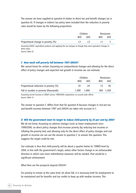The answer we have supplied to question B relates to direct tax and benefit changes (as in question A). If changes in indirect tax policy were included then the reduction in poverty rates would be lower by the following proportions:

|                                    | Children |         | Pensioners |  |
|------------------------------------|----------|---------|------------|--|
|                                    |          | BHC AHC | BHC AHC    |  |
| Proportional change in poverty (%) | $+3$     | $+3$    |            |  |

Assuming 2000/1 expenditure patterns and applying the tax changes as though they were equivalent changes in direct taxes.

*Source*: Table 22

#### *C How much will poverty fall between 1997–2003/4?*

We cannot know for certain. Assuming no compositional changes and allowing for the direct effect of policy changes and expected real growth in incomes we can estimate:

|                                       | Children |       |     | Pensioners |  |
|---------------------------------------|----------|-------|-----|------------|--|
|                                       | BHC      | AHC   | BHC | AHC        |  |
| Proportional reduction in poverty (%) | 33.      | -24   | 13  | 45         |  |
| Fall in number in poverty (thousands) | 1,000    | 1,000 |     | 300 1,200  |  |

Assuming current incomes in 2000/1 prices; 1999/2000 composition; no second order effects *Source*: Table 13

The answer to question C differs from that for question B because changes in real pre-tax and benefit incomes between 1997 and 2003/4 are taken into account in C.

### *D Will the government meet its target to reduce child poverty by 25 per cent by 2004?*

We do not know. Assuming no adverse changes (such as lower employment) since 1999/2000, no direct policy changes that increase poverty (by reducing low incomes or inflating the poverty line) and allowing only for the direct effect of policy changes and real growth in incomes we can use the answer to question C to answer this question. This suggests the target could be met.

Our estimate is thus that child poverty will be about a quarter below its 1998/9 level by 2004, in line with the government's target, unless other factors change in an unfavourable direction in which case more redistributive measures will be needed. That would be a significant achievement.

What then are the prospects beyond 2003/4?

For poverty to remain at the same level, let alone fall, it is necessary both for employment to be maintained and for benefits and tax credits to keep up with median incomes. This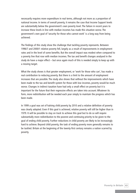necessarily requires more expenditure in real terms, although not more as a proportion of national income. In terms of overall poverty, it remains the case that Income Support levels are substantially below the government's own poverty level. The failure in recent years to increase these levels in line with median incomes has made this situation worse. The government's own goal of 'security for those who cannot work' is a long way from being achieved.

The findings of this study show the challenge that tackling poverty represents. Between 1996/7 and 2000/1 relative poverty fell, largely as a result of improvements in employment rates and in the level of some benefits. But the overall impact was modest when compared to a poverty line that rose with median incomes. The tax and benefit changes analysed in the study do have a major effect – but once again much of this is needed simply to keep up with a moving target.

What the study shows is that greater employment, or 'work for those who can', has made a real contribution to reducing poverty. But there is a limit to the amount of employment increases that are possible. The study also shows that without the improvements which have been made to the tax and benefit system for those with low incomes, poverty would be much worse. Changes in indirect taxation have had only a small effect on poverty but it is important for the future that their regressive effects are taken into account. Whatever its form, more redistribution will be needed each year simply to maintain the progress which has been made.

In 1999 a goal was set of halving child poverty by 2010 and a relative definition of poverty was clearly adopted. Even if this goal is achieved, relative poverty will still be higher than in 1979. It will be possible to stay on track to achieve this goal but to do so will require substantially more redistribution to the poorest and continuing priority to be given to the goal of ending child poverty. Further reductions in child poverty are likely to be increasingly hard to achieve. Beyond child poverty, the task of ending poverty more generally remains to be tackled. Britain at the beginning of the twenty-first century remains a nation scarred by poverty.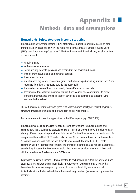## **Appendix I**

## **Methods, data and assumptions**

## **Households Below Average Income statistics**

Household Below Average Income (HBAI) statistics are published annually, based on data from the Family Resources Survey. The main income measures are 'Before Housing Costs (BHC)' and 'After Housing Costs (AHC)'. The BHC income definition includes, for all members of the household:

- usual earnings
- self-employment income
- social security benefits, pensions and credits (but not social fund loans)
- income from occupational and personal pensions
- investment income
- maintenance payments, educational grants and scholarships (including student loans) and transfers from family members outside the household
- imputed cash value of free school meals, free welfare and school milk
- less: income tax, National Insurance contributions, council tax, contributions to private pensions, maintenance and child support payments and payments to students living outside the household.

The AHC income definition deducts gross rent, water charges, mortgage interest payments, structural insurance premiums and ground rent and service charges.

For more information see the appendices to the HBAI reports (e.g. DWP 2002).

Household income is 'equivalised' to take account of variations in household size and composition. The McClements Equivalence Scale is used, as shown below. The relativities are slightly different depending on whether it is the AHC or BHC income concept that is used. For comparison the modified OECD scale is also shown (it has been re-based so that a couple  $=$ 1, to make comparisons with the McClements scale easier). The modified OECD scale is commonly used in international comparisons of income distribution and has been adopted as standard by Eurostat. The McClements scale gives a particularly low weight to babies and children aged under 3, relative to the OECD scale.

Equivalised household income is then allocated to each individual within the household and statistics are calculated across individuals. Another way of expressing this is to say that household incomes are weighted by household size. It is implicitly assumed that all individuals within the household share the same living standard (as measured by equivalised income).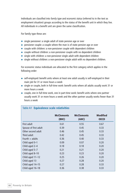Individuals are classified into *family type* and *economic status* (referred to in the text as employment situation) groups according to the status of the benefit unit in which they live. All individuals in a benefit unit are given the same classification.

For family type these are:

- single pensioner: a single adult of state pension age or over
- pensioner couple: a couple where the man is of state pension age or over
- couple with children: a non-pensioner couple with dependent children
- couple without children: a non-pensioner couple with no dependent children
- single with children: a non-pensioner single adult with dependent children
- single without children: a non-pensioner single adult with no dependent children.

For economic status individuals are allocated to the first category which applies in the following order:

- self-employed: benefit units where at least one adult usually is self-employed in their main job for 31 or more hours a week
- single or couple, both in full-time work: benefit units where all adults usually work 31 or more hours a week
- couple, one in full-time work, one in part-time work: benefit units where one partner usually work 31 or more hours a week and the other partner usually works fewer than 31 hours a week

| <u>iable AT Equivalence scale relativities</u> |                            |                            |                                |  |  |  |
|------------------------------------------------|----------------------------|----------------------------|--------------------------------|--|--|--|
|                                                | <b>McClements</b><br>(BHC) | <b>McClements</b><br>(AHC) | <b>Modified</b><br><b>OECD</b> |  |  |  |
| First adult                                    | 0.61                       | 0.55                       | 0.67                           |  |  |  |
| Spouse of first adult                          | 0.39                       | 0.45                       | 0.33                           |  |  |  |
| Other second adult                             | 0.46                       | 0.45                       | 0.33                           |  |  |  |
| Third adult                                    | 0.42                       | 0.45                       | 0.33                           |  |  |  |
| Fourth $+$ adults                              | 0.36                       | 0.40                       | 0.33                           |  |  |  |
| Child aged 0-1                                 | 0.09                       | 0.07                       | 0.20                           |  |  |  |
| Child aged 2-4                                 | 0.18                       | 0.18                       | 0.20                           |  |  |  |
| Child aged 5-7                                 | 0.21                       | 0.21                       | 0.20                           |  |  |  |
| Child aged 8-10                                | 0.23                       | 0.23                       | 0.20                           |  |  |  |
| Child aged 11-12                               | 0.25                       | 0.26                       | 0.20                           |  |  |  |
| Child aged 13                                  | 0.27                       | 0.28                       | 0.20                           |  |  |  |
| Child aged 14-15                               | 0.27                       | 0.28                       | 0.33                           |  |  |  |
| Child aged 16-18                               | 0.36                       | 0.38                       | 0.33                           |  |  |  |

## Table A1 **Equivalence scale relativities**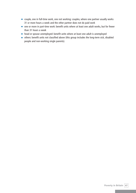- couple, one in full-time work, one not working: couples, where one partner usually works 31 or more hours a week and the other partner does not do paid work
- one or more in part-time work: benefit units where at least one adult works, but for fewer than 31 hours a week
- head or spouse unemployed: benefit units where at least one adult is unemployed
- others: benefit units not classified above (this group includes the long-term sick, disabled people and non-working single parents).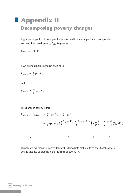## **Appendix II Decomposing poverty changes**

If  $p_i$  is the proportion of the population in type i and  $P_i$  is the proportion of that type who are poor, then overall poverty,  $P_{total}$ , is given by

$$
P_{total} = \sum_{i} p_i.P_i
$$

If we distinguish time periods t and t' then

$$
P_{total,t} = \sum_{i} p_{i,t} P_{i,t}
$$

and

$$
P_{total,t'} = \sum_i p_{i,t'} P_{i,t'}
$$

The change in poverty is then

$$
P_{\text{total},t'} - P_{\text{total},t} = \sum_{i} p_{i,t'} P_{i,t'} - \sum_{i} p_{i,t} P_{i,t}
$$
\n
$$
\approx \sum_{i} (p_{i,t'} - p_{i,t}) \left( \frac{P_{i,t} - \overline{P}_{i,t} + P_{i,t'} - \overline{P}_{i,t'}}{2} \right) + \sum_{i} \left( \frac{p_{i,t} + p_{i,t'}}{2} \right) (P_{i,t'} - P_{i,t})
$$
\n
$$
Z \approx \qquad X \qquad + \qquad y
$$

Thus the overall change in poverty (z) may be divided into that due to compositional changes (x) and that due to changes in the incidence of poverty (y).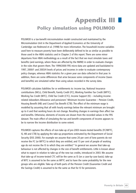## **Appendix III Policy simulation using POLIMOD**

POLIMOD is a tax-benefit microsimulation model constructed and maintained by the Microsimulation Unit in the Department of Applied Economics at the University of Cambridge: see Redmond et al. (1998) for more information. The household income variables used here to measure poverty have been deliberately defined to be as similar as possible to those used in the HBAI statistics and in Chapter 2 of this report. There are some minor departures from HBAI methodology as a result of the fact that we must simulate taxes and benefits (and earnings, where these are affected by the NMW) in order to evaluate changes in the rules that govern them. The 1999/2000 FRS micro-data are updated and backdated to 1997, 2000/1 and 2003/4 levels of prices and incomes in order to evaluate contemporary policy changes, whereas HBAI statistics for a given year use data collected in that year. In addition, there are some differences that arise because some components of income (taxes and benefits) are simulated rather than using values recorded in the survey data.

POLIMOD calculates liabilities for or entitlements to: income tax, National Insurance contributions (NICs), Child Benefit, Family Credit (FC), Working Families Tax Credit (WFTC), Working Tax Credit (WTC), Child Tax Credit (CTC), Income Support (IS) – including incomerelated Jobseekers Allowance and pensioners' Minimum Income Guarantee – Pension Credit, Housing Benefit (HB) and Council Tax Benefit (CTB). The effect of the minimum wage is modelled by assuming that all with hourly earnings below the relevant minimum are brought up to it and that working hours do not change. Resulting changes in earnings then affect tax and benefits. Otherwise, elements of income are drawn from the recorded values in the FRS dataset. The main effect of simulating the tax and benefit components of income appears to be to narrow the income distribution to some extent.

POLIMOD captures the effects of non-take-up of pre-2003 means-tested benefits (FC/WFTC, IS, HB and CTB) by applying the take-up proportions estimated by the Department of Social Security (DSS 2000). For example we assume that some 20 per cent of lone parents do not receive the FC (or WFTC) to which they are entitled, and 15 per cent of people of working age do not receive the IS to which they are entitled.<sup>20</sup> In general we assume that take-up behaviour is not affected by changes in the size of benefit entitlements. Little is known about what to expect in relation to take-up of the new tax credits, introduced in 2003. We assume that take-up of income-tested CTC will be the same as IS (on a case-by-case basis); take-up of WTC is assumed to be the same as WFTC and to have the same probability for the new groups who are eligible. Take-up of both parts of the Pension Credit (Guarantee Credit and the Savings Credit) is assumed to be the same as that for IS for pensioners.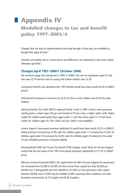## **Appendix IV Modelled changes in tax and benefit policy 1997–2003/4**

Changes that are due for implementation part-way through a fiscal year are modelled as though they apply all year. $21$ 

Amounts are weekly and in current prices and differences are expressed in real terms, unless otherwise specified.

## **Changes April 1997–2000/1 (October 2000)**

The *minimum wage* was introduced in 1999. In 2000/1 the rate for employees aged 22 and over was £3.70 and the rate for young and trainee workers was £3.20.

*Lone-parent benefit* was abolished (the 1997 benefit would have been worth £6.50 in 2000/1 prices).

*Child benefit* increased in real terms by £3.25 for first or only children and £0.30 for other children.

*Working Families Tax Credit* (WFTC) replaced Family Credit in 1999. It had a more generous starting point, a lower taper (55 per cent instead of 70 per cent); a higher adult credit, higher credits for children particularly those aged under 11, but also those aged 11–15 but lower credits for children aged 18. (The Child Care Tax Credit is not modelled.)

*Income Support:* lone-parent premium abolished (it would have been worth £5.25 in 2000/1); family premium increased by £2.90; rates for children aged under 11 increased by £13.65, for children aged under 16 increased by £4.85; rates for children aged 18 reduced to the under 18 rate. Disability premiums increased slightly.

*Housing Benefit* (HB) and *Council Tax Benefit* (CTB) changes match those for Income Support except that the real value of the 1997 lone-parent premiums (abolished) is £11.95 in 2000/1 prices.

*Minimum Income Guarantee* (MIG): the capital limits for MIG (Income Support for pensioners) are increased from £3,000 to £6,000 (so that income from capital less than £6,000 per benefit unit is disregarded) and from £8,000 to £12,000 (so that pensioners with capital between £8,000 and £12,000 may be entitled to MIG assuming other conditions are met). Premiums increased by £5.75 (single) and £9.00 (couples).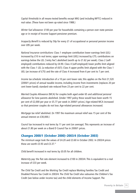*Capital thresholds* in all means-tested benefits except MIG (and including WFTC) reduced in real value. (These have not been up-rated since 1988.)

*Winter fuel allowance:* £100 per year for households containing a person over state pension age or in receipt of Income Support pensioner premium.

*Incapacity Benefit* is reduced by 50p for every £1 of occupational or personal pension income over £85 per week.

*National Insurance contributions:* Class 1 employee contribution lower earnings limit (LEL) increased by £10 in real terms; upper earnings limit (UEL) increased by £75; contributions on earnings below the LEL ('entry fee') abolished (worth up to £1.62 per week). Class 2 (selfemployed) contributions reduced by £4.90. Class 4 (self-employed) lower profits limit aligned with the Class 1 LEL (a reduction of £67); Class 4 upper profits limit aligned with the Class 1 UEL (an increase of £75) and the rate of Class 4 increased from 6 per cent to 7 per cent.

*Income tax schedule:* introduction of a 10 per cent lower rate; this applies on the first £1,520 (2000/1 prices) of annual taxable income, including income from investments (replaces 20 per cent lower band); standard rate reduced from 23 per cent to 22 per cent.

*Married Couples Allowance* (MCA) for couples both aged under 65 and *additional personal allowance* for lone parents abolished. (Under 1997 policy these would have been worth 15 per cent of £2,000 per year or £5.77 per week in 2000/1 prices.) Age-related MCA increased so that pensioner couples do not lose. Age-related personal allowances increased.

*Mortgage tax relief* abolished. (In 1997 the maximum annual relief was 15 per cent of the annual interest on £30,000.)

*Council tax* increased in real terms by 11 per cent (on average). This represents an increase of about £1.80 per week on a Band D Council Tax in 2000/1 prices.

## **Changes 2000/1 (October 2000)–2003/4 (October 2003)**

The *minimum wage* took the values of £4.20 and £3.60 in October 2002. In 2003/4 prices these are worth  $£3.93$  and  $£3.37.^{22}$ 

*Child benefit* increased in real terms by £0.05 for all children.

*Maternity pay:* the flat rate element increased to £100 in 2003/4. This is equivalent to a real increase of £33 per week.

The *Child Tax Credit* and the *Working Tax Credit* replace Working Families Tax Credit and Disabled Persons Tax Credit in 2003/4. The *Child Tax Credit* also subsumes the Children's Tax Credit (see below under income tax) and the child elements of Income Support. The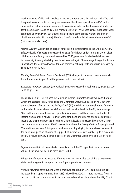maximum value of this credit involves an increase in rates per child and per family. The credit is tapered away according to the gross income (with a lower taper than in WFTC, which depended on net income) and investment income is included (rather than capital limits and tariff income as in IS and WFTC). The *Working Tax Credit* (WTC) uses similar rules about work conditions as WFTC/DPTC, but extends entitlement to some groups without children or disabilities (working 30+ hours). The Child Care Tax Credit is linked to entitlement to WTC (but is not modelled here).

*Income Support:* Support for children of families on IS is transferred to the Child Tax Credit. Effective levels of support are increased by £6.05 for children under 15 and £5.20 for older children and the family premium increased by £0.85; premiums for disabled children are increased significantly; disability premiums increased again. The earnings disregard in Income Support and Jobseekers Allowance for lone parents, disabled people and carers increased by £5 to £20 in April 2001.

*Housing Benefit* (HB) and *Council Tax Benefit* (CTB) changes to rates and premiums match those for Income Support (and the pension credit – see below).

*Basic state retirement pension* (and widow's pension) increased in real terms by £4.50 (Cat. A) or £2.75 (Cat. B).

The *Pension Credit* (PC) replaces the Minimum Income Guarantee. It has two parts, both of which are assessed jointly for couples: the *Guarantee Credit* (GC), based on MIG but with some relaxation of rules, and the *Savings Credit* (SC) which is an additional top-up for those with modest incomes above the MIG and/or basic pension level. In the GC, for those aged 60+ and their partners the upper capital limit is removed and the assumed tariff rate of income from capital is halved. Hours of work conditions are removed and some sources of income are exempted from the income test. Benefit levels are increased by around 25 per cent in real terms (relative to 2000/1 levels). In addition the *Savings Credit* is for people aged 65+ and their partners. This tops up small amounts of qualifying income above the level of the basic state pension at a rate of 60p per £ of income (assessed jointly), up to a maximum. The SC is reduced by any income in excess of the Guarantee Credit level at a rate of 40 per cent.

*Capital thresholds* in all means-tested benefits (except the PC upper limit) reduced in real value. (These have not been up-rated since 1988.)

*Winter fuel allowance:* Increased to £200 per year for households containing a person over state pension age or in receipt of Income Support pensioner premium.

*National Insurance contributions:* Class 1 employee contribution lower earnings limit (LEL) increased by £8; upper earnings limit (UEL) reduced by £30; Class 1 rate increased from 10 per cent to 11 per cent and extra 1 per cent charged on all earnings above the UEL; *Class 4*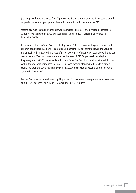(self-employed) rate increased from 7 per cent to 8 per cent and an extra 1 per cent charged on profits above the upper profits limit; this limit reduced in real terms by £30.

*Income tax:* Age-related personal allowances increased by more than inflation; increase in width of 10p tax band by £300 per year in real terms in 2001; personal allowance not indexed in 2003/4.

Introduction of a *Children's Tax Credit* took place in 2001/2. This is for taxpayer families with children aged under 16. If either parent is a higher rate (40 per cent) taxpayer, the value of the annual credit is tapered at a rate of £1 for every £15 of income per year above the 40 per cent threshold. The credit was introduced at the level of £10.00 per week per eligible taxpaying family (£520 per year). An additional Baby Tax Credit for families with a child born within the year was introduced in 2002/3. This was tapered along with the children's tax credit and took the same maximum value. In 2003/4 these credits become part of the Child Tax Credit (see above).

*Council tax* increased in real terms by 16 per cent (on average). This represents an increase of about £3.20 per week on a Band D Council Tax in 2003/4 prices.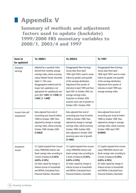

## **Appendix V**

**Summary of methods and adjustment factors used to update (backdate) 1999/2000 FRS monetary variables to 2000/1, 2003/4 and 1997**

| Item to<br>be updated           | To 2000/1                                                                                                                                                                                                                                                                                                         | To 2003/4                                                                                                                                                                                                                                                                                                                                                                                       | To 1997                                                                                                                                                                                                                                                                                    |
|---------------------------------|-------------------------------------------------------------------------------------------------------------------------------------------------------------------------------------------------------------------------------------------------------------------------------------------------------------------|-------------------------------------------------------------------------------------------------------------------------------------------------------------------------------------------------------------------------------------------------------------------------------------------------------------------------------------------------------------------------------------------------|--------------------------------------------------------------------------------------------------------------------------------------------------------------------------------------------------------------------------------------------------------------------------------------------|
| Employee<br>earnings            | Adjusted by a quarterly index<br>derived from monthly average<br>earnings index, whole economy,<br>Labour Market Trends, December<br>Table E.1 (The more<br>disaggregated method used for<br>longer term updating is not<br>appropriate for updating by one<br>year.) [Q2 1.041; Q3 1.038; Q4<br>1.042; Q1 1.049] | <b>Disaggregated New Earnings</b><br>Survey data (from April<br>1999-April 2001) used to create<br>indices by gender and quantile<br>of the earnings distribution.<br>Adjustment from quarter of<br>interview to April 1999 and from<br>April 2001 to October 2002 use<br>average earnings index.<br>Projection to October 2003<br>assumes same rate of growth as<br>October 2001-October 2002. | Disaggregated New Earnings<br>Survey data (from April<br>1999-April 1997) used to create<br>indices by gender and quantile<br>of the earnings distribution.<br>Adjustment from quarter of<br>interview to April 1999 uses<br>average earnings index.                                       |
| Income from self-<br>employment | Data adjusted from end of<br>accounting year (may be before<br>1999) to October 1999. Then<br>adjusted by change in average<br>earnings index, whole economy<br>October 1999-October 2000<br>[1.0363]                                                                                                             | Data adjusted from end of<br>accounting year (may be before<br>1999) to October 1999. Then<br>adjusted by change in average<br>earnings index, whole economy<br>October 1999-October 2002<br>then adjusted to October 2003<br>assuming same rate of growth.<br>[1.1465]                                                                                                                         | Data adjusted from end of<br>accounting year (may be before<br>1999) to October 1999. Then<br>adjusted by change in average<br>earnings index, whole economy<br>October 1999-April 1997.<br>[0.9003]                                                                                       |
| Investment<br>income            | (1) Capital imputed from income<br>using 1999/2000 interest rate<br>(bank savings rates according to<br>3 levels of balance) [1.55%;<br>4.02%; 4.10%]<br>(2) Index capital by change in<br>interest income to households<br>and NPISHs (Calculated from:<br>Financial Statistics, November                        | (1) Capital imputed from income<br>using 1999/2000 interest rate<br>(bank savings rates according to<br>3 levels of balance) [1.55%;<br>4.02%; 4.10%]<br>(2) Index capital by change in<br>interest income to households<br>and NPISHs (Calculated from:<br>Financial Statistics, December                                                                                                      | (1) Capital imputed from income<br>using 1999/2000 interest rate<br>(bank savings rates according to<br>3 levels of balance) [1.55%;<br>4.02%; 4.10%]<br>(2) Index capital by change in<br>interest income to households<br>and NPISHs (Calculated from:<br>Financial Statistics, December |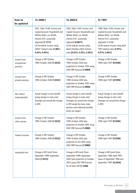| Item to<br>be updated                   | To 2000/1                                                                                                                                                                                                                      | To 2003/4                                                                                                                                                                                                                                     | To 1997                                                                                                                                                                                                                            |
|-----------------------------------------|--------------------------------------------------------------------------------------------------------------------------------------------------------------------------------------------------------------------------------|-----------------------------------------------------------------------------------------------------------------------------------------------------------------------------------------------------------------------------------------------|------------------------------------------------------------------------------------------------------------------------------------------------------------------------------------------------------------------------------------|
|                                         | 2001, Table 14.8A, Income and<br>Capital Account: Households and<br>NPISHs NSSH, col. ROYM,<br>interest D.41, seasonally<br>adjusted) [1.1711]<br>(3) Re-impute income using<br>2000/1 interest rates [1.88%;<br>4.43%; 4.44%] | 2002, Table 14.8A, Income and<br>Capital Account: Households and<br>NPISHs NSSH, col. ROYM,<br>interest D.41, seasonally<br>adjusted) [0.8871]<br>(3) Re-impute income using<br>latest (October 2002) interest<br>rates [0.52%; 2.35%; 2.49%] | 1998, Table 14.8A, Income and<br>Capital Account: Households and<br>NPISHs NSSH, col. ROYM,<br>interest D.41, seasonally<br>adjusted) [1.0104]<br>(3) Re-impute income using April<br>1997 interest rates [2.97%;<br>4.57%; 4.96%] |
| Income from<br>occupational<br>pensions | Change in RPI October<br>1999-October 2000 [1.0322]                                                                                                                                                                            | Change in RPI October<br>1999-October 2002 plus<br>projection to October 2003 using<br>2002 PBR forecast [1.0980]                                                                                                                             | Change in RPI October<br>1999-April 1997 [0.9396]                                                                                                                                                                                  |
| Income from<br>private pensions         | Change in RPI October<br>1999-October 2000 [1.0322]                                                                                                                                                                            | Change in RPI October<br>1999-October 2002 plus<br>projection to October 2003 using<br>2002 PBR forecast [1.0980]                                                                                                                             | Change in RPI October<br>1999-April 1997 [0.9396]                                                                                                                                                                                  |
| Non means-<br>tested benefits:          | Actual change in each benefit<br>(using change in main rate)<br>[changes are around the change<br>in RPI]                                                                                                                      | Actual change in each benefit<br>(using change in main rate)<br>[changes are around the change<br>in RPI except the basic state<br>pension and maternity benefits,<br>which are larger]                                                       | Actual change in each benefit<br>(using change in main rate)<br>[changes are around the change<br>in RPI]                                                                                                                          |
| Income from<br>other sources            | Change in RPI October<br>1999-October 2000 [1.0322]                                                                                                                                                                            | Change in RPI October<br>1999-October 2002 plus<br>projection to October 2003 using<br>2002 PBR forecast [1.0980]                                                                                                                             | Change in RPI October<br>1999-April 1997 [0.9396]                                                                                                                                                                                  |
| Student incomes                         | Change in RPI October<br>1999-October 2000 [1.0322]                                                                                                                                                                            | Change in RPI October<br>1999-October 2002 plus<br>projection to Oct 2003 using<br>2002 PBR forecast [1.0980]                                                                                                                                 | Change in RPI October<br>1999-April 1997 [0.9396]                                                                                                                                                                                  |
| Household rent                          | Change in RPI (rent) (from<br>September 1999-September<br>2000) [1.0315]                                                                                                                                                       | Change in RPI (rent) (from<br>September 1999-September<br>2002) plus projection to October<br>2003 using 2002 PBR forecast<br>for all items RPI [1.1200]                                                                                      | Change in RPI (rent) (from<br>September 1999-April 1997;<br>mean of September 1996 and<br>September 1997) [0.9254]                                                                                                                 |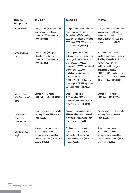| <b>Item to</b><br>be updated                 | To 2000/1                                                                                                                                 | To 2003/4                                                                                                                                                                                                                                                                                                                                   | To 1997                                                                                                                                                                                                                                                                          |
|----------------------------------------------|-------------------------------------------------------------------------------------------------------------------------------------------|---------------------------------------------------------------------------------------------------------------------------------------------------------------------------------------------------------------------------------------------------------------------------------------------------------------------------------------------|----------------------------------------------------------------------------------------------------------------------------------------------------------------------------------------------------------------------------------------------------------------------------------|
| Water charges                                | Change in RPI (water and other<br>housing payments) (from<br>September 1999-September<br>2000) [0.9055]                                   | Change in RPI (water and other<br>housing payments) from<br>September 1999-September<br>2002 plus projection to October<br>2003 using 2002 PBR forecast<br>for all items RPI [0.9850]                                                                                                                                                       | Change in RPI (water and other<br>housing payments) (from<br>September 1999-April 1997;<br>mean of September 1996 and<br>September 1997) [0.8871]                                                                                                                                |
| Gross mortgage<br>interest                   | Change in RPI (mortgage<br>interest payments) (from<br>September 1999-September<br>2000) [1.2832]                                         | (i) Change in total amount<br>outstanding of loans secured on<br>dwellings (Financial Statistics<br>3.2c) 2000Q3-2002Q3,<br>projected to 2003Q3 using trend<br>growth 2001-2002Q3,<br>multiplied by (ii) change in<br>mortgage interest rate<br>2000Q3-2002Q3, deflated by<br>(iii) change in MI RPI September<br>99- September 00 [1.3073] | (i) Change in total amount<br>outstanding of loans secured on<br>dwellings (Financial Statistics<br>3.2c) 2000Q3-1997Q1,<br>multiplied by (ii) change in<br>mortgage interest rate<br>2000Q3-2002Q3, deflated by<br>(iii) change in MI RPI September<br>99-September 00 [0.9922] |
| Domestic rates<br>(Northern Ireland<br>only) | Change in RPI October<br>1999-October 2000 [1.0322]                                                                                       | Change in RPI October<br>1999-October 2002 plus<br>projection to October 2003 using<br>2002 PBR forecast [1.0980]                                                                                                                                                                                                                           | Change in RPI October<br>1999-April 1997 [0.9396]                                                                                                                                                                                                                                |
| Occupational<br>Pension<br>contributions     | Average earnings index, whole<br>economy October 1999-October<br>2000 [1.0363]                                                            | Average earnings index October<br>1999-October 2002; projected<br>to October 2003 assuming same<br>rate of growth [1.1465]                                                                                                                                                                                                                  | Average earnings index, whole<br>economy October 1999-April<br>1997 [0.9003]                                                                                                                                                                                                     |
| Council tax (GB<br>only)                     | Regional index constructed<br>using change in regional<br>average Band D council tax<br>(1999/2000-2000/1) [mean over<br>regions: 1.0622] | Regional index constructed<br>using change in regional<br>average Band D council tax<br>(1999/2000-2003/4) [mean over<br>regions: 1.3092]                                                                                                                                                                                                   | Regional index constructed<br>using change in regional<br>average Band D council tax<br>(1999/2000-April 1997 [mean<br>over regions: 0.8623]                                                                                                                                     |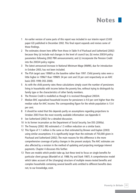## **Notes**

- 1 An earlier version of some parts of this report was included in our interim report (CASE paper 63) published in December 2002. This final report expands and revises some of those findings.
- 2 The estimates shown here differ from those in Table 9 of Piachaud and Sutherland (2002) because they (a) include real changes in the level of council tax; (b) revise 2003/4 policy parameters following 2002 PBR announcements; and (c) incorporate the Pension Credit into the 2003/4 policy regime.
- 3 The latest announced increase in National Minimum Wage (NMW), due for introduction in October 2003, has not been included.
- 4 The PSA target uses 1998/9 as the baseline rather than 1997. Child poverty rates were a little higher in 1996/7 than 1998/9: 34 per cent and 33 per cent respectively on an AHC basis (DSS 1999; DSS 2000).
- 5 As with the child poverty rates these calculations simply count the number of pensioners living in households with income below the poverty line, without trying to distinguish by family type or the characteristics of other family members.
- 6 The Pension Credit is modelled as though it is received throughout 2003/4.
- 7 Median BHC equivalised household income for pensioners is 9.0 per cent higher than the median value for AHC income. The corresponding figure for the whole population is 13.4 per cent.
- 8 It should be noted that this depends partly on assumptions regarding projections to October 2003 from the most recently available information: see Appendix V.
- 9 See Sutherland (2002) for a detailed discussion.
- 10 In its former incarnation as the Department of Social Security. See DSS (2000a).
- 11 The Treasury (2002: 90) estimated a 1.5 million reduction on a similar basis.
- 12 This figure of 1.1 million is the same as that estimated by Brewer and Kaplan (2003) using similar assumptions. It is significantly larger than the estimate of 750,000 given in Piachaud and Sutherland (2002). The main reasons for this difference is the more comprehensive coverage of policy changes in the present analysis. The AHC estimates are also affected by a revision in the method of updating and projecting mortgage interest payments. Chapter 4 discusses this further.
- 13 There are models which predict take-up, but these tend to focus on single benefits for particular client groups (Blundell et al. 1988; Fry and Stark 1987). A comprehensive model which takes account of the (changing) structure of multiple means-tested benefits and complex households containing several benefit units entitled to different benefits does not, to our knowledge, exist.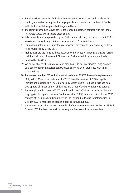- 14 The dimensions controlled for include housing tenure, council tax band, residence in London, age and sex categories for single people and couples and numbers of families with children, with lone parents distinguished by sex.
- 15 The Family Expenditure Survey covers the United Kingdom, in contrast with the Family Resources Survey which covers Great Britain.
- 16 Adjustment factors are provided by the ONS: 1.68 for alcohol, 1.81 for tobacco, 1.50 for sweets and confectionery, 1.60 for ice-cream and 1.15 for soft drinks.
- 17 For standard-rated items, estimated VAT payments are equal to total spending on those items multiplied by 0.175/1.175.
- 18 Probabilities are the same as those assumed by the Office for National Statistics (ONS) in their Redistribution of Income (ROI) analyses. Their methodology report was kindly provided by the ONS.
- 19 We do not observe the current value of their home, so this is estimated using another data set, the Family Resources Survey, based on the value of properties with similar characteristics.
- 20 These were based on FRS and administrative data for 1998/9, before the replacement of FC by WFTC. More recent estimates for WFTC from the summer of 2000 using the Families and Children Survey are provided by McKay (2002). He finds a caseload nontake-up rate of 38 per cent for all families and a rate of 26 per cent for lone parents.
- 21 For example, the increases in WFTC introduced in mid-2000/1 are modelled as though they applied throughout the year. See Brewer et al. (2002) for a discussion of how WFTC changes affected incomes during the year. The Pension Credit, due for introduction in October 2003, is modelled as though it applied throughout 2003/4.
- 22 An announcement of an increase in the level of the minimum wage to £4.50 and £3.80 in October 2003 has been made since carrying out the calculations reported here.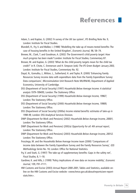## **References**

- Adam, S. and Kaplan, G. (2002) 'A survey of the UK tax system', IFS Briefing Note No. 9, London: Institute for Fiscal Studies.
- Blundell, R., Fry, V. and Walker, I. (1988) 'Modelling the take-up of means-tested benefits: The case of housing benefits in the United Kingdom', *Economic Journal,* 98, 58–74.
- Brewer, M., Clark, T. and Goodman, A. (2002) *The Government's child poverty target: How much progress has been made?* London: Institute for Fiscal Studies, Commentary 87.
- Brewer, M. and Kaplan, G. (2003) 'What do the child poverty targets mean for the child tax credit?' in R. Chote, C. Emmerson and H. Simpson (eds) *The IFS Green Budget: January 2003,* London: Institute for Fiscal Studies, Commentary No. 92.
- Dayal, N., Gomulka, J., Mitton, L., Sutherland, H. and Taylor, R. (2000) 'Enhancing Family Resources Survey income data with expenditure data from the Family Expenditure Survey: Data comparisons', Microsimulation Unit Research Note MU/RN/40, Department of Applied Economics, University of Cambridge.
- DSS (Department of Social Security) (1997) *Households Below Average Income: A statistical analysis 1979–1994/95,* London: The Stationery Office.
- DSS (Department of Social Security) (1999) *Households Below Average Income, 1996/7,* London: The Stationery Office.
- DSS (Department of Social Security) (2000) *Households Below Average Income, 1998/9,* London: The Stationery Office.
- DSS (Department of Social Security) (2000a) *Income related benefits: estimates of take-up in 1998–99,* London: DSS Analytical Services Division.
- DWP (Department for Work and Pensions) (2002) *Households Below Average Income, 2000/1,* London: The Stationery Office.
- DWP (Department for Work and Pensions) (2002a) *Opportunity for all: 4th annual report,* London: The Stationery Office.
- DWP (Department for Work and Pensions) (2003) *Households Below Average Income, 2001/2.* London: The Stationery Office.
- Frosztega, M. and the Households Below Average Income team (2000) 'Comparisons of income data between the Family Expenditure Survey and the Family Resources Survey', *GSS Methodology Series* No. 18, London: Office for National Statistics.
- Fry, V. and Stark, G. (1997) 'The take-up of supplementary benefits: Gaps in the safety net', *Fiscal Studies,* 8, 1–18.
- Gardiner, K. and Hills, J. (1999) 'Policy implications of new data on income mobility', *Economic Journal,* 109, F91–F111.
- HM Customs and Excise (2003) *Annual Report 2000–2001,* Tables and Statistics, available online on the HM Customs and Excise website <www.hmce.gov.uk/about/reports/ann-reportstats.htm>.